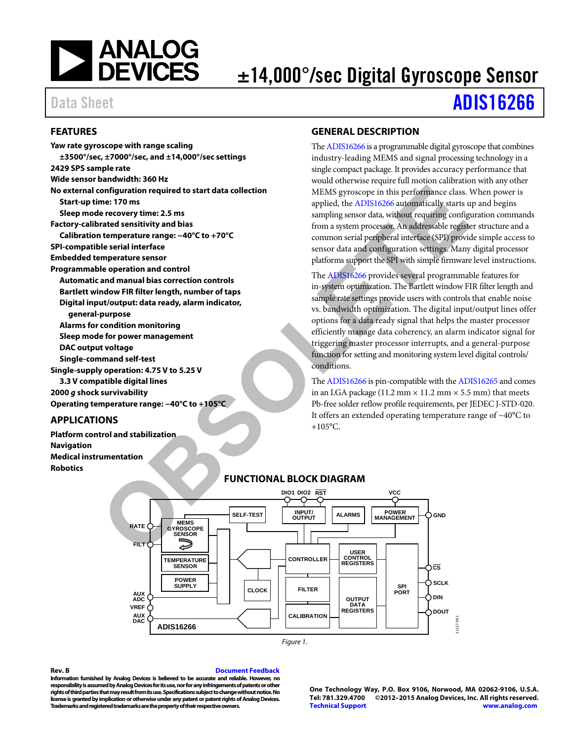

# ±14,000°/sec Digital Gyroscope Sensor

# Data Sheet **[ADIS16266](http://www.analog.com/ADIS16266?doc=ADIS16266.pdf)**

#### <span id="page-0-0"></span>**FEATURES**

**Yaw rate gyroscope with range scaling ±3500°/sec, ±7000°/sec, and ±14,000°/sec settings 2429 SPS sample rate Wide sensor bandwidth: 360 Hz No external configuration required to start data collection Start-up time: 170 ms Sleep mode recovery time: 2.5 ms Factory-calibrated sensitivity and bias Calibration temperature range: −40°C to +70°C SPI-compatible serial interface Embedded temperature sensor Programmable operation and control Automatic and manual bias correction controls Bartlett window FIR filter length, number of taps Digital input/output: data ready, alarm indicator, general-purpose Alarms for condition monitoring Sleep mode for power management DAC output voltage Single-command self-test Single-supply operation: 4.75 V to 5.25 V 3.3 V compatible digital lines 2000 g shock survivability Operating temperature range: −40°C to +105°C**  configuration required to start data collection<br>
meta 2018<br> **OBSOLUTE CONFIGURE CONFIGURE CONFIGUE CONFIGUE CONFIGUE CONFIGUE AND NOTE CONFIGUE AND NOTE CONFIGUE AND CONFIGUE CONFIGUE AND CONFIGUE CONFIGUE CONFIGUE AND CON** 

#### <span id="page-0-1"></span>**APPLICATIONS**

<span id="page-0-3"></span>**Platform control and stabilization Navigation Medical instrumentation Robotics** 

#### <span id="page-0-2"></span>**GENERAL DESCRIPTION**

Th[e ADIS16266 i](http://www.analog.com/ADIS16266?doc=ADIS16266.pdf)s a programmable digital gyroscope that combines industry-leading MEMS and signal processing technology in a single compact package. It provides accuracy performance that would otherwise require full motion calibration with any other MEMS gyroscope in this performance class. When power is applied, the ADIS16266 automatically starts up and begins sampling sensor data, without requiring configuration commands from a system processor. An addressable register structure and a common serial peripheral interface (SPI) provide simple access to sensor data and configuration settings. Many digital processor platforms support the SPI with simple firmware level instructions.

The ADIS16266 provides several programmable features for in-system optimization. The Bartlett window FIR filter length and sample rate settings provide users with controls that enable noise vs. bandwidth optimization. The digital input/output lines offer options for a data ready signal that helps the master processor efficiently manage data coherency, an alarm indicator signal for triggering master processor interrupts, and a general-purpose function for setting and monitoring system level digital controls/ conditions.

The ADIS16266 is pin-compatible with th[e ADIS16265 a](http://www.analog.com/ADIS16265?doc=adis6266.pdf)nd comes in an LGA package (11.2 mm  $\times$  11.2 mm  $\times$  5.5 mm) that meets Pb-free solder reflow profile requirements, per JEDEC J-STD-020. It offers an extended operating temperature range of −40°C to  $+105$ °C.



#### **FUNCTIONAL BLOCK DIAGRAM**

#### **Rev. B [Document Feedback](https://form.analog.com/Form_Pages/feedback/documentfeedback.aspx?doc=ADIS16266.pdf&page=%201&product=ADIS16266&rev=B)**

**Information furnished by Analog Devices is believed to be accurate and reliable. However, no responsibility is assumed by Analog Devices for its use, nor for any infringements of patents or other rights of third parties that may result from its use. Specifications subject to change without notice. No license is granted by implication or otherwise under any patent or patent rights of Analog Devices. Trademarks and registered trademarks are the property of their respective owners.** 

**One Technology Way, P.O. Box 9106, Norwood, MA 02062-9106, U.S.A. Tel: 781.329.4700 ©2012–2015 Analog Devices, Inc. All rights reserved. [Technical Support](http://www.analog.com/en/content/technical_support_page/fca.html) [www.analog.com](http://www.analog.com/)** 

11117-001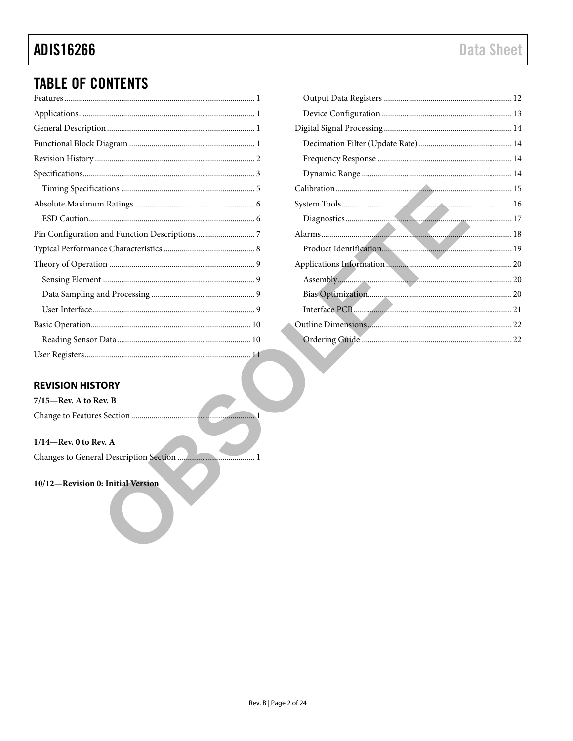# **ADIS16266**

# **TABLE OF CONTENTS**

### <span id="page-1-0"></span>**REVISION HISTORY**

| $7/15$ —Rev. A to Rev. B |  |
|--------------------------|--|
|                          |  |

#### $1/14$ -Rev. 0 to Rev. A

#### 10/12-Revision 0: Initial Version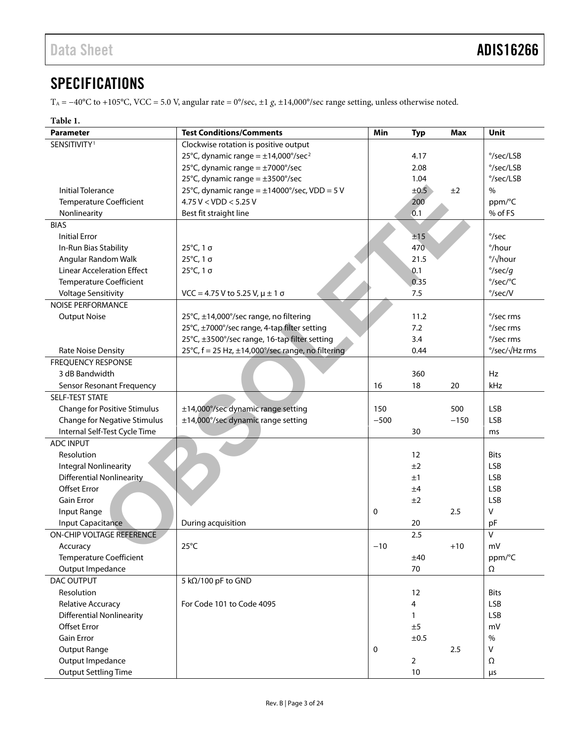## <span id="page-2-0"></span>**SPECIFICATIONS**

TA = −40°C to +105°C, VCC = 5.0 V, angular rate = 0°/sec, ±1 *g*, ±14,000°/sec range setting, unless otherwise noted.

#### <span id="page-2-1"></span>**Table 1.**

| <b>Parameter</b>                    | <b>Test Conditions/Comments</b>                      | Min    | <b>Typ</b>           | <b>Max</b> | Unit               |
|-------------------------------------|------------------------------------------------------|--------|----------------------|------------|--------------------|
| SENSITIVITY <sup>1</sup>            | Clockwise rotation is positive output                |        |                      |            |                    |
|                                     | 25°C, dynamic range = $\pm$ 14,000°/sec <sup>2</sup> |        | 4.17                 |            | °/sec/LSB          |
|                                     | 25°C, dynamic range = $\pm$ 7000°/sec<br>2.08        |        |                      | °/sec/LSB  |                    |
|                                     | 25°C, dynamic range = $\pm$ 3500°/sec                |        | 1.04                 |            | $\degree$ /sec/LSB |
| <b>Initial Tolerance</b>            | 25°C, dynamic range = $\pm$ 14000°/sec, VDD = 5 V    |        | ±0.5                 | ±2         | $\%$               |
| <b>Temperature Coefficient</b>      | $4.75$ V < VDD < 5.25 V                              |        | 200                  |            | ppm/°C             |
| Nonlinearity                        | Best fit straight line                               |        | 0.1                  |            | % of FS            |
| <b>BIAS</b>                         |                                                      |        |                      |            |                    |
| <b>Initial Error</b>                |                                                      |        | ±15                  |            | $\degree$ /sec     |
| In-Run Bias Stability               | 25°C, 1 σ                                            |        | 470                  |            | °/hour             |
| Angular Random Walk                 | 25°C, 1 σ                                            |        | 21.5                 |            | °/√hour            |
| <b>Linear Acceleration Effect</b>   | 25°C, 1 σ                                            |        | 0.1                  |            | $\degree$ /sec/g   |
| <b>Temperature Coefficient</b>      |                                                      |        | 0.35                 |            | °/sec/°C           |
| <b>Voltage Sensitivity</b>          | VCC = 4.75 V to 5.25 V, $\mu$ ± 1 σ                  |        | 7.5                  |            | $\degree$ /sec/V   |
| <b>NOISE PERFORMANCE</b>            |                                                      |        |                      |            |                    |
| <b>Output Noise</b>                 | 25°C, ±14,000°/sec range, no filtering               |        | 11.2                 |            | °/sec rms          |
|                                     | 25°C, ±7000°/sec range, 4-tap filter setting         |        | 7.2                  |            | °/sec rms          |
|                                     | 25°C, ±3500°/sec range, 16-tap filter setting        |        | 3.4                  |            | °/sec rms          |
| Rate Noise Density                  | 25°C, f = 25 Hz, ±14,000°/sec range, no filtering    |        | 0.44                 |            | °/sec/√Hz rms      |
| <b>FREQUENCY RESPONSE</b>           |                                                      |        |                      |            |                    |
| 3 dB Bandwidth                      |                                                      |        | 360                  |            | Hz                 |
| Sensor Resonant Frequency           |                                                      | 16     | 18                   | 20         | kHz                |
| SELF-TEST STATE                     |                                                      |        |                      |            |                    |
| Change for Positive Stimulus        | ±14,000°/sec dynamic range setting                   | 150    |                      | 500        | <b>LSB</b>         |
| <b>Change for Negative Stimulus</b> | ±14,000°/sec dynamic range setting                   | $-500$ |                      | $-150$     | <b>LSB</b>         |
| Internal Self-Test Cycle Time       |                                                      |        | 30                   |            | ms                 |
| <b>ADC INPUT</b>                    |                                                      |        |                      |            |                    |
| Resolution                          |                                                      |        | 12                   |            | <b>Bits</b>        |
| <b>Integral Nonlinearity</b>        |                                                      |        | ±2                   |            | <b>LSB</b>         |
| <b>Differential Nonlinearity</b>    |                                                      |        | ±1                   |            | <b>LSB</b>         |
| <b>Offset Error</b>                 |                                                      |        | ±4                   |            | <b>LSB</b>         |
| <b>Gain Error</b>                   |                                                      |        | ±2                   |            | <b>LSB</b>         |
| Input Range                         |                                                      | 0      |                      | 2.5        | $\vee$             |
| Input Capacitance                   | During acquisition                                   |        | 20                   |            | pF                 |
| ON-CHIP VOLTAGE REFERENCE           |                                                      |        | 2.5                  |            | $\overline{V}$     |
| Accuracy                            | $25^{\circ}$ C                                       | -10    |                      | $+10$      | mV                 |
| <b>Temperature Coefficient</b>      |                                                      |        | ±40                  |            | ppm/°C             |
| Output Impedance                    |                                                      |        | 70                   |            | $\Omega$           |
| DAC OUTPUT                          | 5 kΩ/100 pF to GND                                   |        |                      |            |                    |
| Resolution                          |                                                      |        | 12                   |            | <b>Bits</b>        |
| Relative Accuracy                   | For Code 101 to Code 4095                            |        | 4                    |            | <b>LSB</b>         |
| <b>Differential Nonlinearity</b>    |                                                      |        | $\mathbf{1}$         |            | <b>LSB</b>         |
| <b>Offset Error</b>                 |                                                      |        | ±5                   |            | mV                 |
| <b>Gain Error</b>                   |                                                      |        | ±0.5                 |            | $\%$               |
| <b>Output Range</b>                 |                                                      | 0      |                      | 2.5        | $\vee$             |
| Output Impedance                    |                                                      |        |                      |            |                    |
| <b>Output Settling Time</b>         |                                                      |        | $\overline{2}$<br>10 |            | Ω                  |
|                                     |                                                      |        |                      |            | $\mu$ s            |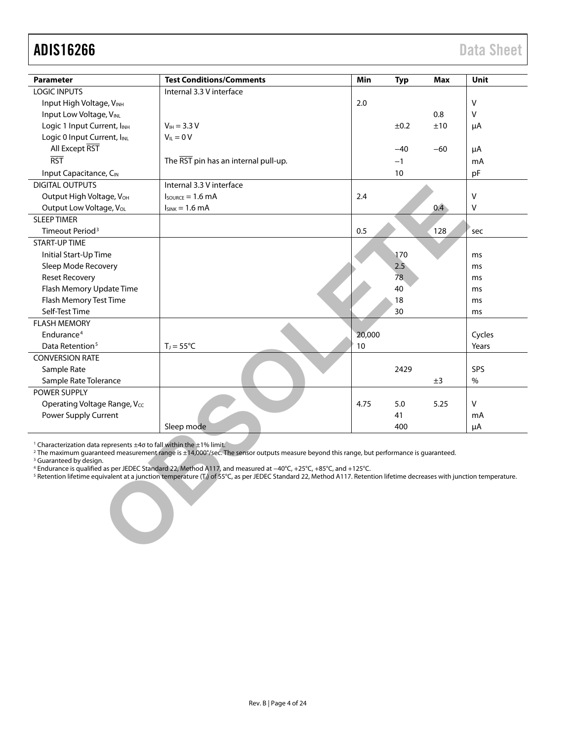<span id="page-3-0"></span>

| <b>Parameter</b>                                                                                                                                                                                                                                                                                                                                                                                                                                                                                                                                                                                                                              | <b>Test Conditions/Comments</b>      | Min    | <b>Typ</b> | Max   | Unit   |
|-----------------------------------------------------------------------------------------------------------------------------------------------------------------------------------------------------------------------------------------------------------------------------------------------------------------------------------------------------------------------------------------------------------------------------------------------------------------------------------------------------------------------------------------------------------------------------------------------------------------------------------------------|--------------------------------------|--------|------------|-------|--------|
| <b>LOGIC INPUTS</b>                                                                                                                                                                                                                                                                                                                                                                                                                                                                                                                                                                                                                           | Internal 3.3 V interface             |        |            |       |        |
| Input High Voltage, VINH                                                                                                                                                                                                                                                                                                                                                                                                                                                                                                                                                                                                                      |                                      | 2.0    |            |       | $\vee$ |
| Input Low Voltage, VINL                                                                                                                                                                                                                                                                                                                                                                                                                                                                                                                                                                                                                       |                                      |        |            | 0.8   | V      |
| Logic 1 Input Current, IINH                                                                                                                                                                                                                                                                                                                                                                                                                                                                                                                                                                                                                   | $V_{IH} = 3.3 V$                     |        | ±0.2       | ±10   | μA     |
| Logic 0 Input Current, IINL                                                                                                                                                                                                                                                                                                                                                                                                                                                                                                                                                                                                                   | $V_{IL} = 0 V$                       |        |            |       |        |
| All Except RST                                                                                                                                                                                                                                                                                                                                                                                                                                                                                                                                                                                                                                |                                      |        | $-40$      | $-60$ | μA     |
| <b>RST</b>                                                                                                                                                                                                                                                                                                                                                                                                                                                                                                                                                                                                                                    | The RST pin has an internal pull-up. |        | $-1$       |       | mA     |
| Input Capacitance, C <sub>IN</sub>                                                                                                                                                                                                                                                                                                                                                                                                                                                                                                                                                                                                            |                                      |        | 10         |       | pF     |
| <b>DIGITAL OUTPUTS</b>                                                                                                                                                                                                                                                                                                                                                                                                                                                                                                                                                                                                                        | Internal 3.3 V interface             |        |            |       |        |
| Output High Voltage, V <sub>OH</sub>                                                                                                                                                                                                                                                                                                                                                                                                                                                                                                                                                                                                          | $I_{\text{SOLRCE}} = 1.6 \text{ mA}$ | 2.4    |            |       | $\vee$ |
| Output Low Voltage, VoL                                                                                                                                                                                                                                                                                                                                                                                                                                                                                                                                                                                                                       | $I_{SINK} = 1.6$ mA                  |        |            | 0.4   | ٧      |
| <b>SLEEP TIMER</b>                                                                                                                                                                                                                                                                                                                                                                                                                                                                                                                                                                                                                            |                                      |        |            |       |        |
| Timeout Period <sup>3</sup>                                                                                                                                                                                                                                                                                                                                                                                                                                                                                                                                                                                                                   |                                      | 0.5    |            | 128   | sec    |
| <b>START-UP TIME</b>                                                                                                                                                                                                                                                                                                                                                                                                                                                                                                                                                                                                                          |                                      |        |            |       |        |
| Initial Start-Up Time                                                                                                                                                                                                                                                                                                                                                                                                                                                                                                                                                                                                                         |                                      |        | 170        |       | ms     |
| Sleep Mode Recovery                                                                                                                                                                                                                                                                                                                                                                                                                                                                                                                                                                                                                           |                                      |        | 2.5        |       | ms     |
| <b>Reset Recovery</b>                                                                                                                                                                                                                                                                                                                                                                                                                                                                                                                                                                                                                         |                                      |        | 78         |       | ms     |
| Flash Memory Update Time                                                                                                                                                                                                                                                                                                                                                                                                                                                                                                                                                                                                                      |                                      |        | 40         |       | ms     |
| Flash Memory Test Time                                                                                                                                                                                                                                                                                                                                                                                                                                                                                                                                                                                                                        |                                      |        | 18         |       | ms     |
| Self-Test Time                                                                                                                                                                                                                                                                                                                                                                                                                                                                                                                                                                                                                                |                                      |        | 30         |       | ms     |
| <b>FLASH MEMORY</b>                                                                                                                                                                                                                                                                                                                                                                                                                                                                                                                                                                                                                           |                                      |        |            |       |        |
| Endurance <sup>4</sup>                                                                                                                                                                                                                                                                                                                                                                                                                                                                                                                                                                                                                        |                                      | 20,000 |            |       | Cycles |
| Data Retention <sup>5</sup>                                                                                                                                                                                                                                                                                                                                                                                                                                                                                                                                                                                                                   | $T_J = 55^{\circ}C$                  | 10     |            |       | Years  |
| <b>CONVERSION RATE</b>                                                                                                                                                                                                                                                                                                                                                                                                                                                                                                                                                                                                                        |                                      |        |            |       |        |
| Sample Rate                                                                                                                                                                                                                                                                                                                                                                                                                                                                                                                                                                                                                                   |                                      |        | 2429       |       | SPS    |
| Sample Rate Tolerance                                                                                                                                                                                                                                                                                                                                                                                                                                                                                                                                                                                                                         |                                      |        |            | ±3    | $\%$   |
| POWER SUPPLY                                                                                                                                                                                                                                                                                                                                                                                                                                                                                                                                                                                                                                  |                                      |        |            |       |        |
| Operating Voltage Range, Vcc                                                                                                                                                                                                                                                                                                                                                                                                                                                                                                                                                                                                                  |                                      | 4.75   | 5.0        | 5.25  | V      |
| Power Supply Current                                                                                                                                                                                                                                                                                                                                                                                                                                                                                                                                                                                                                          |                                      |        | 41         |       | mA     |
|                                                                                                                                                                                                                                                                                                                                                                                                                                                                                                                                                                                                                                               | Sleep mode                           |        | 400        |       | μA     |
| <sup>1</sup> Characterization data represents ±40 to fall within the ±1% limit.<br><sup>2</sup> The maximum quaranteed measurement range is ±14,000°/sec. The sensor outputs measure beyond this range, but performance is quaranteed.<br><sup>3</sup> Guaranteed by design.<br>4 Endurance is qualified as per JEDEC Standard 22, Method A117, and measured at $-40^{\circ}$ C, +25 $^{\circ}$ C, +85 $^{\circ}$ C, and +125 $^{\circ}$ C.<br><sup>5</sup> Retention lifetime equivalent at a junction temperature (T <sub>a</sub> ) of 55°C, as per JEDEC Standard 22, Method A117. Retention lifetime decreases with junction temperature. |                                      |        |            |       |        |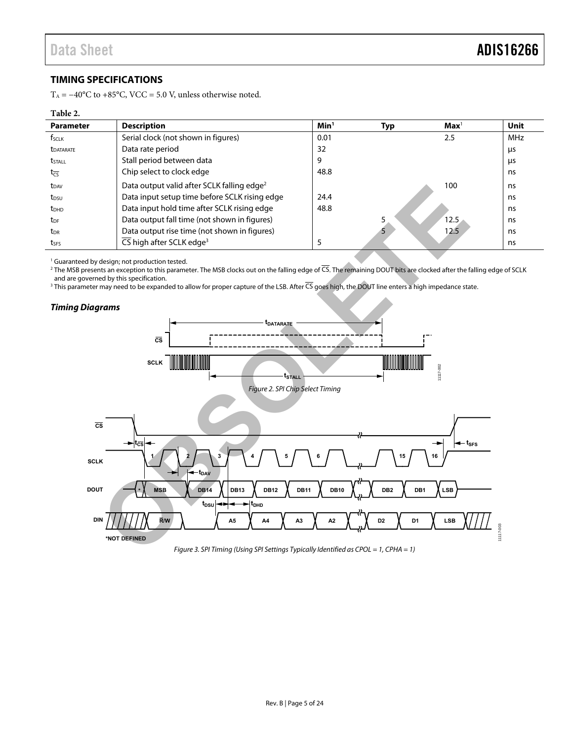#### <span id="page-4-0"></span>**TIMING SPECIFICATIONS**

T<sub>A</sub> =  $-40^{\circ}$ C to +85°C, VCC = 5.0 V, unless otherwise noted.

#### **Table 2.**

| <b>Parameter</b>        | <b>Description</b>                                     | Min <sup>1</sup> | Typ | $\mathbf{Max}^1$ | <b>Unit</b> |
|-------------------------|--------------------------------------------------------|------------------|-----|------------------|-------------|
| f <sub>sclk</sub>       | Serial clock (not shown in figures)                    | 0.01             |     | 2.5              | <b>MHz</b>  |
| <b><i>LDATARATE</i></b> | Data rate period                                       | 32               |     |                  | μs          |
| <b>t</b> stall          | Stall period between data                              | 9                |     |                  | μs          |
| $t_{\overline{CS}}$     | Chip select to clock edge                              | 48.8             |     |                  | ns          |
| t <sub>DAV</sub>        | Data output valid after SCLK falling edge <sup>2</sup> |                  |     | 100              | ns          |
| t <sub>DSU</sub>        | Data input setup time before SCLK rising edge          | 24.4             |     |                  | ns          |
| t <sub>DHD</sub>        | Data input hold time after SCLK rising edge            | 48.8             |     |                  | ns          |
| t <sub>DF</sub>         | Data output fall time (not shown in figures)           |                  |     | 12.5             | ns          |
| t <sub>DR</sub>         | Data output rise time (not shown in figures)           |                  |     | 12.5             | ns          |
| tses                    | CS high after SCLK edge <sup>3</sup>                   |                  |     |                  | ns          |

<sup>1</sup> Guaranteed by design; not production tested.

2 The MSB presents an exception to this parameter. The MSB clocks out on the falling edge of CS. The remaining DOUT bits are clocked after the falling edge of SCLK and are governed by this specification.

3 This parameter may need to be expanded to allow for proper capture of the LSB. After CS goes high, the DOUT line enters a high impedance state.

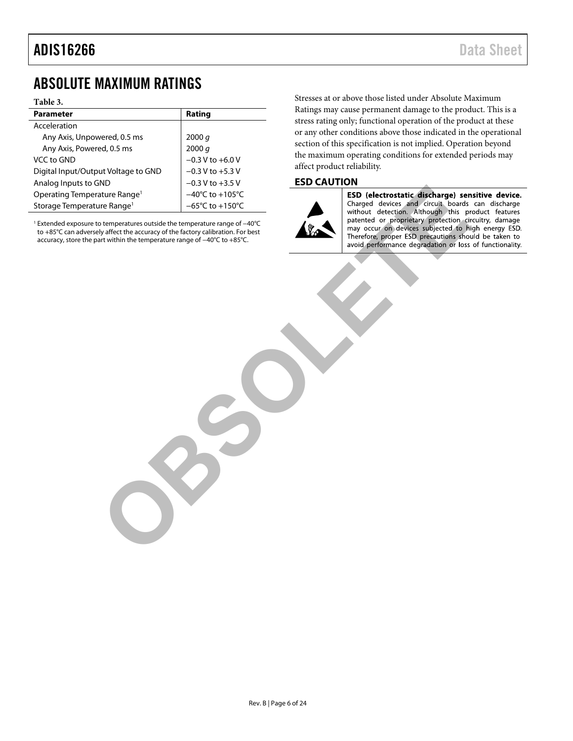### <span id="page-5-0"></span>ABSOLUTE MAXIMUM RATINGS

#### **Table 3.**

| <b>Parameter</b>                         | Rating                              |
|------------------------------------------|-------------------------------------|
| Acceleration                             |                                     |
| Any Axis, Unpowered, 0.5 ms              | 2000 $q$                            |
| Any Axis, Powered, 0.5 ms                | 2000 q                              |
| VCC to GND                               | $-0.3 V$ to $+6.0 V$                |
| Digital Input/Output Voltage to GND      | $-0.3$ V to $+5.3$ V                |
| Analog Inputs to GND                     | $-0.3$ V to $+3.5$ V                |
| Operating Temperature Range <sup>1</sup> | $-40^{\circ}$ C to $+105^{\circ}$ C |
| Storage Temperature Range <sup>1</sup>   | $-65^{\circ}$ C to $+150^{\circ}$ C |

<sup>1</sup> Extended exposure to temperatures outside the temperature range of −40°C to +85°C can adversely affect the accuracy of the factory calibration. For best accuracy, store the part within the temperature range of −40°C to +85°C.

Stresses at or above those listed under Absolute Maximum Ratings may cause permanent damage to the product. This is a stress rating only; functional operation of the product at these or any other conditions above those indicated in the operational section of this specification is not implied. Operation beyond the maximum operating conditions for extended periods may affect product reliability.

#### <span id="page-5-1"></span>**ESD CAUTION**



The Range<sup>1</sup><br>
The Christian Control of the first of the first of the first of the first of the first of the first of the first of the first of the first of the first of the first of the first of the first of the first of t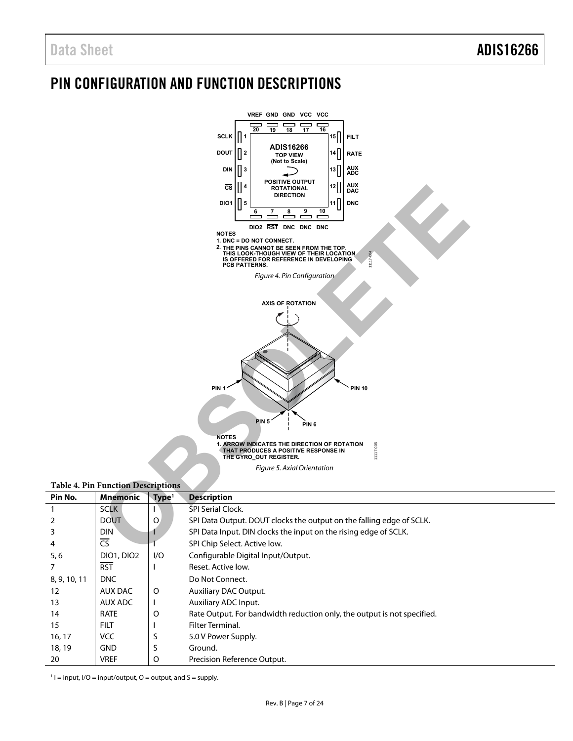## <span id="page-6-0"></span>PIN CONFIGURATION AND FUNCTION DESCRIPTIONS



#### **Table 4. Pin Function Descriptions**

| Pin No.      | <b>Mnemonic</b>          | Type <sup>1</sup> | <b>Description</b>                                                      |
|--------------|--------------------------|-------------------|-------------------------------------------------------------------------|
|              | <b>SCLK</b>              |                   | SPI Serial Clock.                                                       |
| 2            | <b>DOUT</b>              | $\circ$           | SPI Data Output. DOUT clocks the output on the falling edge of SCLK.    |
| 3            | <b>DIN</b>               |                   | SPI Data Input. DIN clocks the input on the rising edge of SCLK.        |
| 4            | $\overline{\mathsf{CS}}$ |                   | SPI Chip Select. Active low.                                            |
| 5, 6         | <b>DIO1, DIO2</b>        | 1/O               | Configurable Digital Input/Output.                                      |
| 7            | <b>RST</b>               |                   | Reset. Active low.                                                      |
| 8, 9, 10, 11 | <b>DNC</b>               |                   | Do Not Connect.                                                         |
| 12           | AUX DAC                  | $\circ$           | <b>Auxiliary DAC Output.</b>                                            |
| 13           | AUX ADC                  |                   | Auxiliary ADC Input.                                                    |
| 14           | <b>RATE</b>              | O                 | Rate Output. For bandwidth reduction only, the output is not specified. |
| 15           | <b>FILT</b>              |                   | Filter Terminal.                                                        |
| 16, 17       | <b>VCC</b>               |                   | 5.0 V Power Supply.                                                     |
| 18, 19       | <b>GND</b>               | S                 | Ground.                                                                 |
| 20           | <b>VREF</b>              | O                 | Precision Reference Output.                                             |

 $1 =$  input,  $1/O =$  input/output,  $O =$  output, and  $S =$  supply.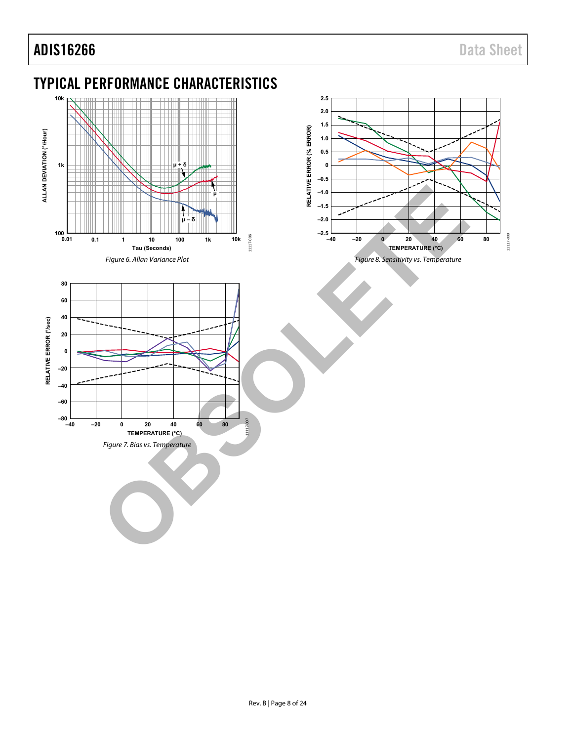# <span id="page-7-0"></span>TYPICAL PERFORMANCE CHARACTERISTICS





<span id="page-7-1"></span>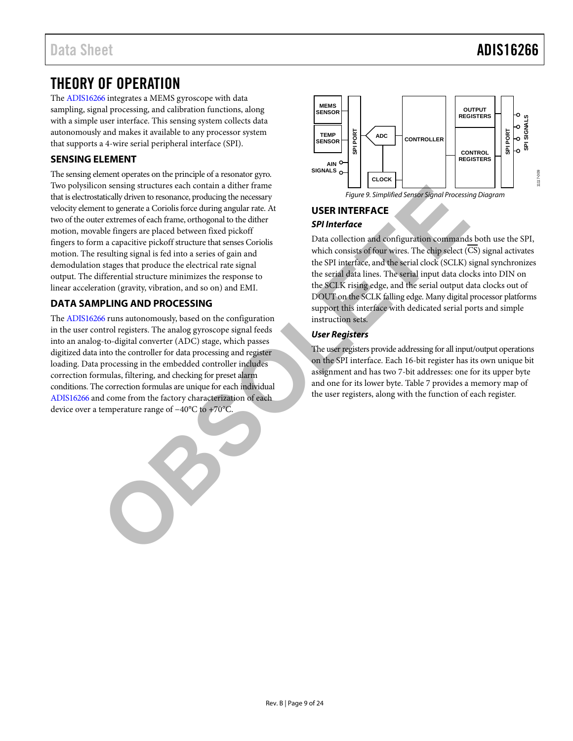### <span id="page-8-0"></span>THEORY OF OPERATION

The [ADIS16266 i](http://www.analog.com/ADIS16266?doc=ADIS16266.pdf)ntegrates a MEMS gyroscope with data sampling, signal processing, and calibration functions, along with a simple user interface. This sensing system collects data autonomously and makes it available to any processor system that supports a 4-wire serial peripheral interface (SPI).

#### <span id="page-8-1"></span>**SENSING ELEMENT**

The sensing element operates on the principle of a resonator gyro. Two polysilicon sensing structures each contain a dither frame that is electrostatically driven to resonance, producing the necessary velocity element to generate a Coriolis force during angular rate. At two of the outer extremes of each frame, orthogonal to the dither motion, movable fingers are placed between fixed pickoff fingers to form a capacitive pickoff structure that senses Coriolis motion. The resulting signal is fed into a series of gain and demodulation stages that produce the electrical rate signal output. The differential structure minimizes the response to linear acceleration (gravity, vibration, and so on) and EMI. The strain of the scribe of control and the train and the train of the strain of the spectral correlation of the distribution of the distribution of the control of the spectral of the control of the control of the control

### <span id="page-8-2"></span>**DATA SAMPLING AND PROCESSING**

The [ADIS16266 r](http://www.analog.com/ADIS16266?doc=ADIS16266.pdf)uns autonomously, based on the configuration in the user control registers. The analog gyroscope signal feeds into an analog-to-digital converter (ADC) stage, which passes digitized data into the controller for data processing and register loading. Data processing in the embedded controller includes correction formulas, filtering, and checking for preset alarm conditions. The correction formulas are unique for each individual [ADIS16266 a](http://www.analog.com/ADIS16266?doc=ADIS16266.pdf)nd come from the factory characterization of each device over a temperature range of −40°C to +70°C.



#### <span id="page-8-3"></span>**USER INTERFACE SPI Interface**

Data collection and configuration commands both use the SPI, which consists of four wires. The chip select (CS) signal activates the SPI interface, and the serial clock (SCLK) signal synchronizes the serial data lines. The serial input data clocks into DIN on the SCLK rising edge, and the serial output data clocks out of DOUT on the SCLK falling edge. Many digital processor platforms support this interface with dedicated serial ports and simple instruction sets.

#### **User Registers**

The user registers provide addressing for all input/output operations on the SPI interface. Each 16-bit register has its own unique bit assignment and has two 7-bit addresses: one for its upper byte and one for its lower byte. Table 7 provides a memory map of the user registers, along with the function of each register.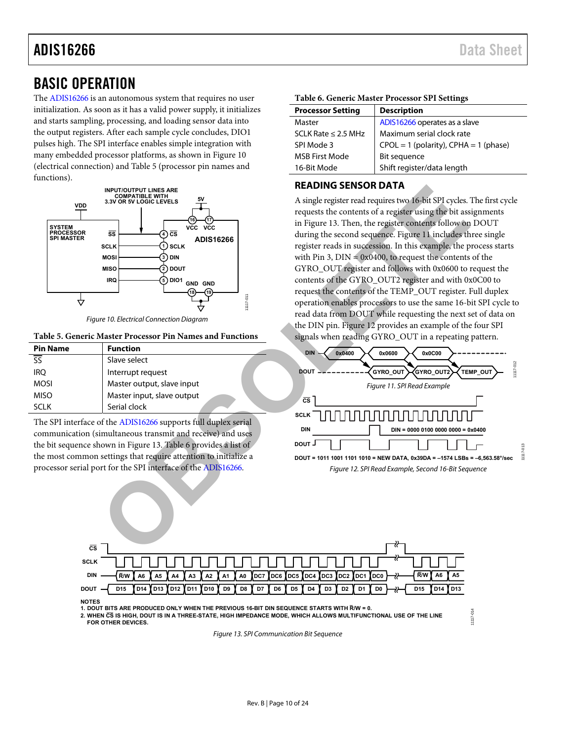### <span id="page-9-0"></span>BASIC OPERATION

The [ADIS16266 i](http://www.analog.com/ADIS16266?doc=ADIS16266.pdf)s an autonomous system that requires no user initialization. As soon as it has a valid power supply, it initializes and starts sampling, processing, and loading sensor data into the output registers. After each sample cycle concludes, DIO1 pulses high. The SPI interface enables simple integration with many embedded processor platforms, as shown i[n Figure 10](#page-9-2)  (electrical connection) an[d Table 5 \(](#page-9-3)processor pin names and functions).



Figure 10. Electrical Connection Diagram

#### <span id="page-9-3"></span><span id="page-9-2"></span>**Table 5. Generic Master Processor Pin Names and Functions**

| <b>Pin Name</b>          | <b>Function</b>            |
|--------------------------|----------------------------|
| $\overline{\mathsf{SS}}$ | Slave select               |
| <b>IRO</b>               | Interrupt request          |
| <b>MOSI</b>              | Master output, slave input |
| <b>MISO</b>              | Master input, slave output |
| SCI K                    | Serial clock               |
|                          |                            |

The SPI interface of the ADIS16266 supports full duplex serial communication (simultaneous transmit and receive) and uses the bit sequence shown in Figure 13. Table 6 provides a list of the most common settings that require attention to initialize a processor serial port for the SPI interface of the ADIS16266.

#### <span id="page-9-5"></span>**Table 6. Generic Master Processor SPI Settings**

| <b>Processor Setting</b> | <b>Description</b>                        |
|--------------------------|-------------------------------------------|
| Master                   | ADIS16266 operates as a slave             |
| SCLK Rate $\leq$ 2.5 MHz | Maximum serial clock rate                 |
| SPI Mode 3               | $CPOL = 1$ (polarity), $CPHA = 1$ (phase) |
| <b>MSB First Mode</b>    | Bit sequence                              |
| 16-Bit Mode              | Shift register/data length                |

#### <span id="page-9-1"></span>**READING SENSOR DATA**

A single register read requires two 16-bit SPI cycles. The first cycle requests the contents of a register using the bit assignments in Figure 13. Then, the register contents follow on DOUT during the second sequence. Figure 11 includes three single register reads in succession. In this example, the process starts with Pin 3,  $DIN = 0x0400$ , to request the contents of the GYRO\_OUT register and follows with 0x0600 to request the contents of the GYRO\_OUT2 register and with 0x0C00 to request the contents of the TEMP\_OUT register. Full duplex operation enables processors to use the same 16-bit SPI cycle to read data from DOUT while requesting the next set of data on the DIN pin. Figure 12 provides an example of the four SPI signals when reading GYRO\_OUT in a repeating pattern. **EXERCTS ANISSES**<br> **O EXERCTS**<br> **EXERCTS**<br> **EXERCTS**<br> **EXERCTS**<br> **EXERCTS**<br> **EXERCTS**<br> **EXERCTS**<br> **EXERCTS**<br> **EXERCTS**<br> **EXERCTS**<br> **EXERCTS**<br> **EXERCTS**<br> **EXERCTS**<br> **EXERCTS**<br> **EXERCTS**<br> **EXERCTS**<br> **EXERCTS**<br> **EXERCTS**<br>

<span id="page-9-7"></span><span id="page-9-6"></span>

11117-014

1117-014



**NOTES**

**1. DOUT BITS ARE PRODUCED ONLY WHEN THE PREVIOUS 16-BIT DIN SEQUENCE STARTS WITH R/W = 0.**

<span id="page-9-4"></span>**2. WHEN CS IS HIGH, DOUT IS IN A THREE-STATE, HIGH IMPEDANCE MODE, WHICH ALLOWS MULTIFUNCTIONAL USE OF THE LINE FOR OTHER DEVICES.**

Figure 13. SPI Communication Bit Sequence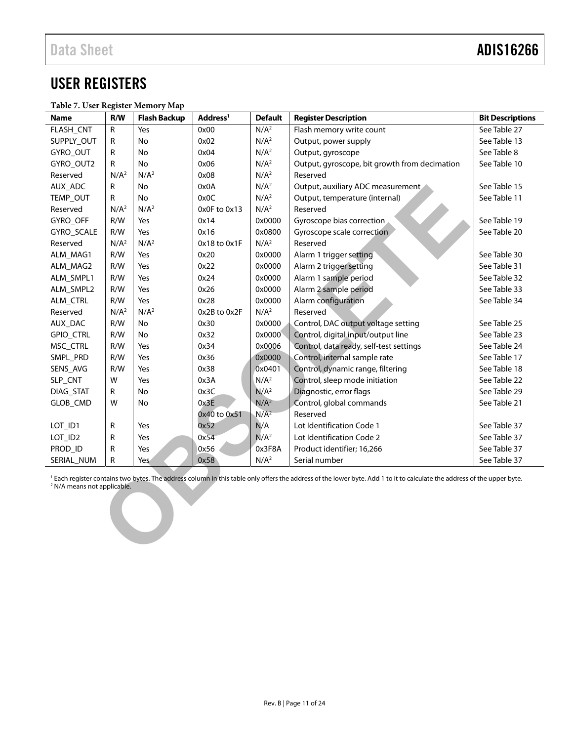### <span id="page-10-0"></span>USER REGISTERS

<span id="page-10-2"></span>

| Table 7. User Register Memory Map |  |
|-----------------------------------|--|
|-----------------------------------|--|

<span id="page-10-1"></span>

| <b>Name</b>                            | R/W              | <b>Flash Backup</b> | Address <sup>1</sup> | <b>Default</b>   | <b>Register Description</b>                                                                                                                                                        | <b>Bit Descriptions</b> |
|----------------------------------------|------------------|---------------------|----------------------|------------------|------------------------------------------------------------------------------------------------------------------------------------------------------------------------------------|-------------------------|
| FLASH_CNT                              | ${\sf R}$        | Yes                 | 0x00                 | N/A <sup>2</sup> | Flash memory write count                                                                                                                                                           | See Table 27            |
| SUPPLY_OUT                             | $\mathsf{R}$     | No                  | 0x02                 | N/A <sup>2</sup> | Output, power supply                                                                                                                                                               | See Table 13            |
| GYRO_OUT                               | $\mathsf{R}$     | No                  | 0x04                 | N/A <sup>2</sup> | Output, gyroscope                                                                                                                                                                  | See Table 8             |
| GYRO_OUT2                              | ${\sf R}$        | No                  | 0x06                 | N/A <sup>2</sup> | Output, gyroscope, bit growth from decimation                                                                                                                                      | See Table 10            |
| Reserved                               | N/A <sup>2</sup> | N/A <sup>2</sup>    | 0x08                 | N/A <sup>2</sup> | Reserved                                                                                                                                                                           |                         |
| AUX_ADC                                | R                | No                  | 0x0A                 | N/A <sup>2</sup> | Output, auxiliary ADC measurement                                                                                                                                                  | See Table 15            |
| TEMP_OUT                               | $\mathsf{R}$     | No                  | 0x0C                 | N/A <sup>2</sup> | Output, temperature (internal)                                                                                                                                                     | See Table 11            |
| Reserved                               | N/A <sup>2</sup> | N/A <sup>2</sup>    | 0x0F to 0x13         | N/A <sup>2</sup> | Reserved                                                                                                                                                                           |                         |
| GYRO_OFF                               | R/W              | Yes                 | 0x14                 | 0x0000           | Gyroscope bias correction                                                                                                                                                          | See Table 19            |
| GYRO_SCALE                             | R/W              | Yes                 | 0x16                 | 0x0800           | Gyroscope scale correction                                                                                                                                                         | See Table 20            |
| Reserved                               | N/A <sup>2</sup> | N/A <sup>2</sup>    | 0x18 to 0x1F         | N/A <sup>2</sup> | Reserved                                                                                                                                                                           |                         |
| ALM_MAG1                               | R/W              | Yes                 | 0x20                 | 0x0000           | Alarm 1 trigger setting                                                                                                                                                            | See Table 30            |
| ALM_MAG2                               | R/W              | Yes                 | 0x22                 | 0x0000           | Alarm 2 trigger setting                                                                                                                                                            | See Table 31            |
| ALM_SMPL1                              | R/W              | Yes                 | 0x24                 | 0x0000           | Alarm 1 sample period                                                                                                                                                              | See Table 32            |
| ALM_SMPL2                              | R/W              | Yes                 | 0x26                 | 0x0000           | Alarm 2 sample period                                                                                                                                                              | See Table 33            |
| ALM_CTRL                               | R/W              | Yes                 | 0x28                 | 0x0000           | Alarm configuration                                                                                                                                                                | See Table 34            |
| Reserved                               | N/A <sup>2</sup> | N/A <sup>2</sup>    | 0x2B to 0x2F         | N/A <sup>2</sup> | Reserved                                                                                                                                                                           |                         |
| AUX_DAC                                | R/W              | No                  | 0x30                 | 0x0000           | Control, DAC output voltage setting                                                                                                                                                | See Table 25            |
| GPIO_CTRL                              | R/W              | No                  | 0x32                 | 0x0000           | Control, digital input/output line                                                                                                                                                 | See Table 23            |
| MSC_CTRL                               | R/W              | Yes                 | 0x34                 | 0x0006           | Control, data ready, self-test settings                                                                                                                                            | See Table 24            |
| SMPL_PRD                               | R/W              | Yes                 | 0x36                 | 0x0000           | Control, internal sample rate                                                                                                                                                      | See Table 17            |
| SENS_AVG                               | R/W              | Yes                 | 0x38                 | 0x0401           | Control, dynamic range, filtering                                                                                                                                                  | See Table 18            |
| SLP_CNT                                | W                | Yes                 | 0x3A                 | N/A <sup>2</sup> | Control, sleep mode initiation                                                                                                                                                     | See Table 22            |
| DIAG_STAT                              | ${\sf R}$        | No                  | 0x3C                 | N/A <sup>2</sup> | Diagnostic, error flags                                                                                                                                                            | See Table 29            |
| GLOB_CMD                               | W                | No                  | 0x3E                 | N/A <sup>2</sup> | Control, global commands                                                                                                                                                           | See Table 21            |
|                                        |                  |                     | 0x40 to 0x51         | N/A <sup>2</sup> | Reserved                                                                                                                                                                           |                         |
| LOT_ID1                                | ${\sf R}$        | Yes                 | 0x52                 | N/A              | Lot Identification Code 1                                                                                                                                                          | See Table 37            |
| LOT_ID2                                | R                | Yes                 | 0x54                 | N/A <sup>2</sup> | Lot Identification Code 2                                                                                                                                                          | See Table 37            |
| PROD_ID                                | R                | Yes                 | 0x56                 | 0x3F8A           | Product identifier; 16,266                                                                                                                                                         | See Table 37            |
| SERIAL_NUM                             | ${\sf R}$        | Yes                 | 0x58                 | N/A <sup>2</sup> | Serial number                                                                                                                                                                      | See Table 37            |
| <sup>2</sup> N/A means not applicable. |                  |                     |                      |                  | <sup>1</sup> Each register contains two bytes. The address column in this table only offers the address of the lower byte. Add 1 to it to calculate the address of the upper byte. |                         |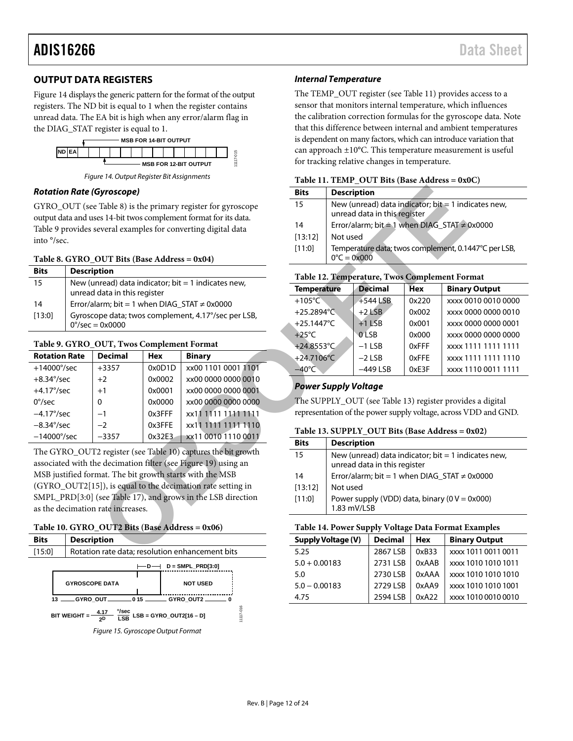#### **OUTPUT DATA REGISTERS**

[Figure 14](#page-11-4) displays the generic pattern for the format of the output registers. The ND bit is equal to 1 when the register contains unread data. The EA bit is high when any error/alarm flag in the DIAG\_STAT register is equal to 1.



*Figure 14. Output Register Bit Assignments*

#### <span id="page-11-4"></span>*Rotation Rate (Gyroscope)*

GYRO\_OUT (see Table 8) is the primary register for gyroscope output data and uses 14-bit twos complement format for its data. [Table 9](#page-11-5) provides several examples for converting digital data into °/sec.

#### <span id="page-11-1"></span>**Table 8. GYRO\_OUT Bits (Base Address = 0x04)**

| <b>Bits</b> | <b>Description</b>                                                                     |
|-------------|----------------------------------------------------------------------------------------|
| 15          | New (unread) data indicator; bit $=$ 1 indicates new,<br>unread data in this register  |
| 14          | Error/alarm; bit = 1 when DIAG STAT $\neq$ 0x0000                                      |
| [13:0]      | Gyroscope data; twos complement, 4.17°/sec per LSB,<br>$0^{\circ}/sec = 0 \times 0000$ |

#### <span id="page-11-5"></span>**Table 9. GYRO\_OUT, Twos Complement Format**

| <b>Rotation Rate</b> | <b>Decimal</b> | <b>Hex</b> | <b>Binary</b>       |
|----------------------|----------------|------------|---------------------|
| $+14000^{\circ}/sec$ | $+3357$        | 0x0D1D     | xx00 1101 0001 1101 |
| $+8.34^{\circ}/sec$  | $+2$           | 0x0002     | xx00 0000 0000 0010 |
| $+4.17^{\circ}/sec$  | $+1$           | 0x0001     | xx00 0000 0000 0001 |
| $0^{\circ}/sec$      | 0              | 0x0000     | xx00 0000 0000 0000 |
| $-4.17^{\circ}/sec$  | $-1$           | 0x3FFF     | xx11 1111 1111 1111 |
| $-8.34^{\circ}/sec$  | $-2$           | 0x3FFE     | xx11 1111 1111 1110 |
| $-14000^{\circ}/sec$ | $-3357$        | 0x32E3     | xx11 0010 1110 0011 |

The GYRO\_OUT2 register (see Table 10) captures the bit growth associated with the decimation filter (see Figure 19) using an MSB justified format. The bit growth starts with the MSB (GYRO\_OUT2[15]), is equal to the decimation rate setting in SMPL\_PRD[3:0] (see Table 17), and grows in the LSB direction as the decimation rate increases.

#### <span id="page-11-2"></span>**Table 10. GYRO\_OUT2 Bits (Base Address = 0x06)**



*Figure 15. Gyroscope Output Format* 

#### *Internal Temperature*

The TEMP\_OUT register (see [Table 11\)](#page-11-3) provides access to a sensor that monitors internal temperature, which influences the calibration correction formulas for the gyroscope data. Note that this difference between internal and ambient temperatures is dependent on many factors, which can introduce variation that can approach ±10°C. This temperature measurement is useful for tracking relative changes in temperature.

#### <span id="page-11-3"></span>**Table 11. TEMP\_OUT Bits (Base Address = 0x0C)**

| <b>Bits</b> | <b>Description</b>                                                                    |
|-------------|---------------------------------------------------------------------------------------|
| 15          | New (unread) data indicator; $bit = 1$ indicates new,<br>unread data in this register |
| 14          | Error/alarm; bit = 1 when DIAG_STAT ≠ 0x0000                                          |
| [13:12]     | Not used                                                                              |
| [11:0]      | Temperature data; twos complement, 0.1447°C per LSB,<br>$0^{\circ}C = 0 \times 000$   |

#### **Table 12. Temperature, Twos Complement Format**

| iyroscope)                                                                                  |            |                                                   | <b>Bits</b>          |                                                                                       | <b>Description</b>                                                           |            |                                                                 |  |
|---------------------------------------------------------------------------------------------|------------|---------------------------------------------------|----------------------|---------------------------------------------------------------------------------------|------------------------------------------------------------------------------|------------|-----------------------------------------------------------------|--|
| Table 8) is the primary register for gyroscope                                              |            |                                                   | 15                   | New (unread) data indicator; bit $= 1$ indicates new,                                 |                                                                              |            |                                                                 |  |
| es 14-bit twos complement format for its data.                                              |            |                                                   |                      |                                                                                       | unread data in this register<br>Error/alarm; bit = 1 when DIAG_STAT ≠ 0x0000 |            |                                                                 |  |
|                                                                                             |            | everal examples for converting digital data       | 14                   |                                                                                       |                                                                              |            |                                                                 |  |
|                                                                                             |            |                                                   | [13:12]              | Not used                                                                              |                                                                              |            |                                                                 |  |
|                                                                                             |            |                                                   | [11:0]               | Temperature data; twos complement, 0.1447°C per LSB,                                  |                                                                              |            |                                                                 |  |
| $OUT Bits (Base Address = 0x04)$                                                            |            |                                                   |                      | $0^{\circ}C = 0 \times 000$                                                           |                                                                              |            |                                                                 |  |
| tion                                                                                        |            |                                                   |                      |                                                                                       | Table 12. Temperature, Twos Complement Format                                |            |                                                                 |  |
| data in this register                                                                       |            | read) data indicator; bit = 1 indicates new,      | <b>Temperature</b>   |                                                                                       | <b>Decimal</b>                                                               | <b>Hex</b> | <b>Binary Output</b>                                            |  |
|                                                                                             |            | $arm; bit = 1$ when $DIAG\_STAT \neq 0x0000$      | $+105^{\circ}$ C     |                                                                                       | $+544$ LSB                                                                   | 0x220      | xxxx 0010 0010 0000                                             |  |
|                                                                                             |            | pe data; twos complement, 4.17°/sec per LSB,      | $+25.2894^{\circ}$ C |                                                                                       | $+2$ LSB                                                                     | 0x002      | xxxx 0000 0000 0010                                             |  |
| 0x0000                                                                                      |            |                                                   | +25.1447 $°C$        |                                                                                       | $+1$ LSB                                                                     | 0x001      | xxxx 0000 0000 0001                                             |  |
|                                                                                             |            |                                                   | $+25^{\circ}$ C      |                                                                                       | <b>OLSB</b>                                                                  | 0x000      | xxxx 0000 0000 0000                                             |  |
| <b>OUT, Twos Complement Format</b>                                                          |            |                                                   | $+24.8553^{\circ}$ C |                                                                                       | $-1$ LSB                                                                     | 0xFFF      | xxxx 1111 1111 1111                                             |  |
| Decimal                                                                                     | <b>Hex</b> | <b>Binary</b>                                     | $+24.7106^{\circ}$ C |                                                                                       | $-2$ LSB                                                                     | 0xFFE      | xxxx 1111 1111 1110                                             |  |
| +3357                                                                                       | 0x0D1D     | xx00 1101 0001 1101                               | $-40^{\circ}$ C      |                                                                                       | $-449$ LSB                                                                   | 0xE3F      | xxxx 1110 0011 1111                                             |  |
| +2                                                                                          | 0x0002     | xx00 0000 0000 0010                               |                      |                                                                                       | <b>Power Supply Voltage</b>                                                  |            |                                                                 |  |
| $^{+1}$                                                                                     | 0x0001     | xx00 0000 0000 0001                               |                      |                                                                                       |                                                                              |            |                                                                 |  |
| 0                                                                                           | 0x0000     | xx00 0000 0000 0000                               |                      |                                                                                       | The SUPPLY_OUT (see Table 13) register provides a digital                    |            |                                                                 |  |
| -1                                                                                          | 0x3FFF     | xx11 1111 1111 1111                               |                      |                                                                                       |                                                                              |            | representation of the power supply voltage, across VDD and GND. |  |
| $-2$                                                                                        | 0x3FFE     | xx11 1111 1111 1110                               |                      |                                                                                       |                                                                              |            |                                                                 |  |
| $-3357$                                                                                     | 0x32E3     | xx11 0010 1110 0011                               | <b>Bits</b>          | Table 13. SUPPLY_OUT Bits (Base Address = 0x02)                                       |                                                                              |            |                                                                 |  |
|                                                                                             |            | 2 register (see Table 10) captures the bit growth |                      |                                                                                       | <b>Description</b>                                                           |            |                                                                 |  |
|                                                                                             |            | e decimation filter (see Figure 19) using an      | 15                   | New (unread) data indicator; bit $=$ 1 indicates new,<br>unread data in this register |                                                                              |            |                                                                 |  |
|                                                                                             |            |                                                   | 14                   | Error/alarm; bit = 1 when DIAG_STAT $\neq$ 0x0000                                     |                                                                              |            |                                                                 |  |
| nat. The bit growth starts with the MSB<br>[b]), is equal to the decimation rate setting in |            |                                                   | [13:12]              | Not used                                                                              |                                                                              |            |                                                                 |  |
| see Table 17), and grows in the LSB direction                                               |            |                                                   |                      |                                                                                       |                                                                              |            |                                                                 |  |
| rate increases.                                                                             |            |                                                   | [11:0]               | Power supply (VDD) data, binary ( $0 V = 0x000$ )<br>1.83 mV/LSB                      |                                                                              |            |                                                                 |  |
| <b>OUT2 Bits (Base Address = 0x06)</b>                                                      |            |                                                   |                      | Table 14. Power Supply Voltage Data Format Examples                                   |                                                                              |            |                                                                 |  |
| tion                                                                                        |            |                                                   |                      | Supply Voltage (V)                                                                    | <b>Decimal</b>                                                               | <b>Hex</b> | <b>Binary Output</b>                                            |  |
| rate data; resolution enhancement bits                                                      |            |                                                   | 5.25                 |                                                                                       | 2867 LSB                                                                     | 0xB33      | xxxx 1011 0011 0011                                             |  |

#### *Power Supply Voltage*

#### <span id="page-11-0"></span>**Table 13. SUPPLY\_OUT Bits (Base Address = 0x02)**

| <b>Bits</b> | <b>Description</b>                                                                    |
|-------------|---------------------------------------------------------------------------------------|
| 15          | New (unread) data indicator; bit $= 1$ indicates new,<br>unread data in this register |
| 14          | Error/alarm; bit = 1 when DIAG_STAT $\neq$ 0x0000                                     |
| [13:12]     | Not used                                                                              |
| [11:0]      | Power supply (VDD) data, binary (0 $V = 0x000$ )<br>1.83 mV/LSB                       |

| Table 14. Power Supply Voltage Data Format Examples |  |  |
|-----------------------------------------------------|--|--|
|-----------------------------------------------------|--|--|

| <b>Supply Voltage (V)</b> | <b>Decimal</b> | <b>Hex</b> | <b>Binary Output</b> |
|---------------------------|----------------|------------|----------------------|
| 5.25                      | 2867 LSB       | 0xB33      | xxxx 1011 0011 0011  |
| $5.0 + 0.00183$           | 2731 I SB      | 0xAAB      | xxxx 1010 1010 1011  |
| 5.0                       | 2730 LSB       | 0xAAA      | xxxx 1010 1010 1010  |
| $5.0 - 0.00183$           | 2729 LSB       | 0xAA9      | xxxx 1010 1010 1001  |
| 4.75                      | 2594 LSB       | 0xA22      | xxxx 1010 0010 0010  |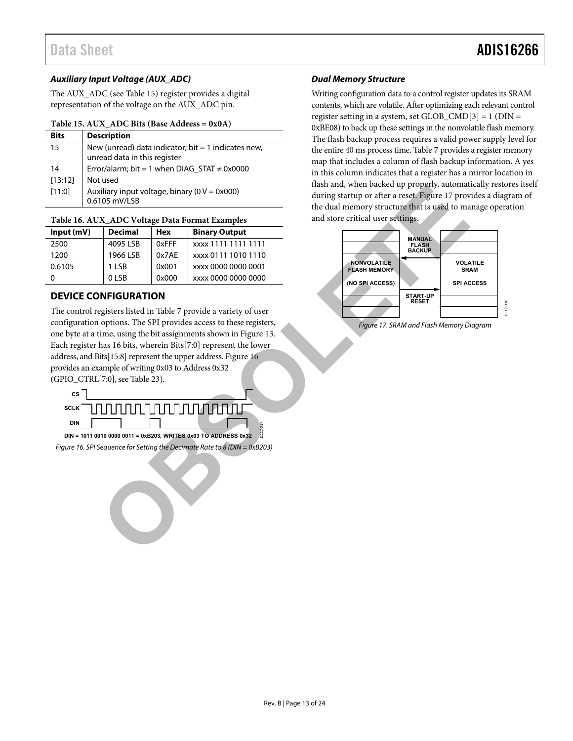#### **Auxiliary Input Voltage (AUX\_ADC)**

The AUX\_ADC (se[e Table 15\)](#page-12-1) register provides a digital representation of the voltage on the AUX\_ADC pin.

#### <span id="page-12-1"></span>**Table 15. AUX\_ADC Bits (Base Address = 0x0A)**

| <b>Bits</b> | <b>Description</b>                                                                  |
|-------------|-------------------------------------------------------------------------------------|
| 15          | New (unread) data indicator; bit = 1 indicates new,<br>unread data in this register |
| 14          | Error/alarm; bit = 1 when $DIAG\_STAT \neq 0x0000$                                  |
| [13:12]     | Not used                                                                            |
| [11:0]      | Auxiliary input voltage, binary ( $0 V = 0x000$ )<br>0.6105 mV/LSB                  |

#### **Table 16. AUX\_ADC Voltage Data Format Examples**

| Input(mV) | <b>Decimal</b> | Hex   | <b>Binary Output</b> |  |
|-----------|----------------|-------|----------------------|--|
| 2500      | 4095 LSB       | 0xFFF | xxxx 1111 1111 1111  |  |
| 1200      | 1966 LSB       | 0x7AE | xxxx 0111 1010 1110  |  |
| 0.6105    | 1 I SB         | 0x001 | xxxx 0000 0000 0001  |  |
|           | 0 LSB          | 0x000 | xxxx 0000 0000 0000  |  |

#### <span id="page-12-0"></span>**DEVICE CONFIGURATION**

The control registers listed in Table 7 provide a variety of user configuration options. The SPI provides access to these registers, one byte at a time, using the bit assignments shown in Figure 13. Each register has 16 bits, wherein Bits[7:0] represent the lower address, and Bits[15:8] represent the upper address. Figure 16 provides an example of writing 0x03 to Address 0x32 (GPIO\_CTRL[7:0], see Table 23). (ISS) in particular in particular properties and the control of the memory structure (bit is used to manner that **X.ADC Voltage Data Format [E](#page-12-3)xamples**<br> **[O](#page-12-2)BS**<br> **OBS**<br> **OBS** OCTAE 2003 (SCAE 2003) 2003 (2003) 2003 (2003) 2003

<span id="page-12-2"></span>

#### **Dual Memory Structure**

Writing configuration data to a control register updates its SRAM contents, which are volatile. After optimizing each relevant control register setting in a system, set GLOB\_CMD[3] = 1 (DIN = 0xBE08) to back up these settings in the nonvolatile flash memory. The flash backup process requires a valid power supply level for the entire 40 ms process time[. Table 7 p](#page-10-2)rovides a register memory map that includes a column of flash backup information. A yes in this column indicates that a register has a mirror location in flash and, when backed up properly, automatically restores itself during startup or after a reset. Figure 17 provides a diagram of the dual memory structure that is used to manage operation and store critical user settings.



<span id="page-12-3"></span>Figure 17. SRAM and Flash Memory Diagram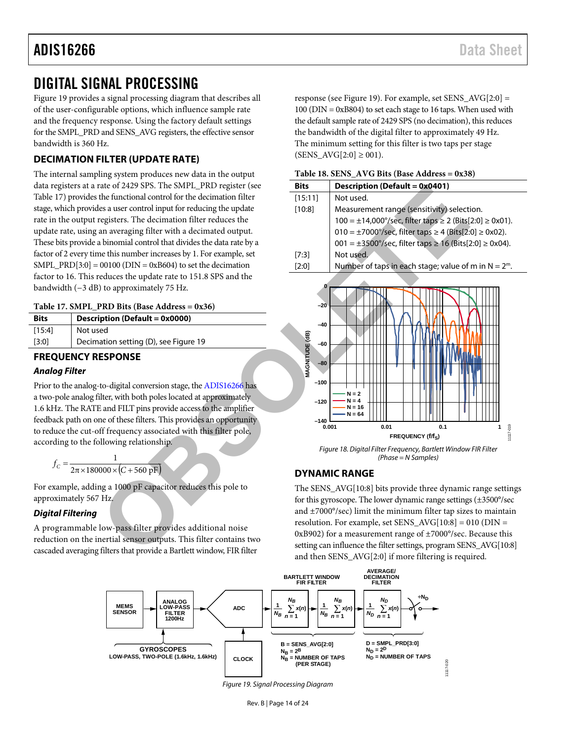### <span id="page-13-0"></span>DIGITAL SIGNAL PROCESSING

[Figure 19 p](#page-13-6)rovides a signal processing diagram that describes all of the user-configurable options, which influence sample rate and the frequency response. Using the factory default settings for the SMPL\_PRD and SENS\_AVG registers, the effective sensor bandwidth is 360 Hz.

### <span id="page-13-1"></span>**DECIMATION FILTER (UPDATE RATE)**

The internal sampling system produces new data in the output data registers at a rate of 2429 SPS. The SMPL\_PRD register (see [Table 17\)](#page-13-4) provides the functional control for the decimation filter stage, which provides a user control input for reducing the update rate in the output registers. The decimation filter reduces the update rate, using an averaging filter with a decimated output. These bits provide a binomial control that divides the data rate by a factor of 2 every time this number increases by 1. For example, set SMPL\_PRD[3:0] =  $00100$  (DIN = 0xB604) to set the decimation factor to 16. This reduces the update rate to 151.8 SPS and the bandwidth (−3 dB) to approximately 75 Hz.

#### <span id="page-13-4"></span>**Table 17. SMPL\_PRD Bits (Base Address = 0x36)**

| <b>Bits</b> | Description (Default = 0x0000)        |  |  |
|-------------|---------------------------------------|--|--|
| [15:4]      | Not used                              |  |  |
| [3:0]       | Decimation setting (D), see Figure 19 |  |  |

#### <span id="page-13-2"></span>**FREQUENCY RESPONSE**

#### **Analog Filter**

Prior to the analog-to-digital conversion stage, the ADIS16266 has a two-pole analog filter, with both poles located at approximately 1.6 kHz. The RATE and FILT pins provide access to the amplifier feedback path on one of these filters. This provides an opportunity to reduce the cut-off frequency associated with this filter pole, according to the following relationship.

$$
f_C = \frac{1}{2\pi \times 180000 \times (C + 560 \text{ pF})}
$$

For example, adding a 1000 pF capacitor reduces this pole to approximately 567 Hz.

#### **Digital Filtering**

A programmable low-pass filter provides additional noise reduction on the inertial sensor outputs. This filter contains two cascaded averaging filters that provide a Bartlett window, FIR filter

response (se[e Figure 19\)](#page-13-6). For example, set SENS\_AVG[2:0] = 100 (DIN = 0xB804) to set each stage to 16 taps. When used with the default sample rate of 2429 SPS (no decimation), this reduces the bandwidth of the digital filter to approximately 49 Hz. The minimum setting for this filter is two taps per stage  $(SENS_AVG[2:0] \ge 001)$ .

<span id="page-13-5"></span>

|  |  | Table 18. SENS_AVG Bits (Base Address = 0x38) |
|--|--|-----------------------------------------------|
|--|--|-----------------------------------------------|

| $\frac{1}{2}$ of steam protes                                                                        |                         |                                                                                               |
|------------------------------------------------------------------------------------------------------|-------------------------|-----------------------------------------------------------------------------------------------|
| rate of 2429 SPS. The SMPL_PRD register (see                                                         | <b>Bits</b>             | Description (Default = 0x0401)                                                                |
| the functional control for the decimation filter                                                     | [15:11]                 | Not used.                                                                                     |
| les a user control input for reducing the update                                                     | [10:8]                  | Measurement range (sensitivity) selection.                                                    |
| registers. The decimation filter reduces the                                                         |                         | $100 = \pm 14,000^{\circ}/\text{sec}$ , filter taps $\geq 2$ (Bits[2:0] $\geq 0 \times 01$ ). |
| an averaging filter with a decimated output.                                                         |                         | $010 = \pm 7000^{\circ}/sec$ , filter taps $\geq 4$ (Bits[2:0] $\geq 0 \times 02$ ).          |
| a binomial control that divides the data rate by a                                                   |                         | 001 = $\pm$ 3500°/sec, filter taps $\geq$ 16 (Bits[2:0] $\geq$ 0x04).                         |
| ne this number increases by 1. For example, set                                                      | [7:3]                   | Not used.                                                                                     |
| $00100$ (DIN = 0xB604) to set the decimation                                                         | [2:0]                   | Number of taps in each stage; value of m in $N = 2^m$ .                                       |
| educes the update rate to 151.8 SPS and the                                                          |                         |                                                                                               |
| ) to approximately 75 Hz.                                                                            | o                       |                                                                                               |
|                                                                                                      |                         |                                                                                               |
| PRD Bits (Base Address = $0x36$ )                                                                    | -20                     |                                                                                               |
| iption (Default = 0x0000)                                                                            | $-40$                   |                                                                                               |
| ed                                                                                                   |                         |                                                                                               |
| ation setting (D), see Figure 19                                                                     | $-60$                   |                                                                                               |
| <b>ESPONSE</b>                                                                                       |                         |                                                                                               |
|                                                                                                      | MAGNITUDE (dB)<br>$-80$ |                                                                                               |
|                                                                                                      | $-100$                  |                                                                                               |
| to-digital conversion stage, the ADIS16266 has                                                       |                         | $N = 2$                                                                                       |
| ilter, with both poles located at approximately                                                      | $-120$                  | $= 4$<br>N = 16                                                                               |
| E and FILT pins provide access to the amplifier                                                      |                         | $N = 64$                                                                                      |
| ne of these filters. This provides an opportunity<br>off frequency associated with this filter pole, | $-140$<br>0.001         | 0.01<br>0.1                                                                                   |
|                                                                                                      |                         | 1117-019<br>FREQUENCY (f/f <sub>S</sub> )                                                     |
| ollowing relationship.                                                                               |                         | Figure 18. Digital Filter Frequency, Bartlett Window FIR Filter                               |
|                                                                                                      |                         | $(Phase = N Samples)$                                                                         |
| $\overline{000\times \left(C+560\text{ pF}\right)}$                                                  |                         | <b>DYNAMIC RANGE</b>                                                                          |
| ng a 1000 pF capacitor reduces this pole to                                                          |                         | The SENS_AVG[10:8] bits provide three dynamic range settings                                  |
| Hz.                                                                                                  |                         | for this gyroscope. The lower dynamic range settings (±3500°/sec                              |
|                                                                                                      |                         | and $\pm$ 7000 $\degree$ /sec) limit the minimum filter tap sizes to maintain                 |
|                                                                                                      |                         | resolution. For example, set SENS_AVG[10:8] = 010 (DIN =                                      |
| low-pass filter provides additional noise                                                            |                         | 0xB902) for a measurement range of $\pm$ 7000 $\degree$ /sec. Because this                    |
| nertial sensor outputs. This filter contains two                                                     |                         | setting can influence the filter settings, program SENS_AVG[10:8]                             |
| filters that provide a Bartlett window, FIR filter                                                   |                         | $\alpha$ d then CEMC AMC(2.0) if means filming is no spined                                   |

Figure 18. Digital Filter Frequency, Bartlett Window FIR Filter (Phase = N Samples)

#### <span id="page-13-3"></span>**DYNAMIC RANGE**

The SENS\_AVG[10:8] bits provide three dynamic range settings for this gyroscope. The lower dynamic range settings (±3500°/sec and ±7000°/sec) limit the minimum filter tap sizes to maintain resolution. For example, set  $SENS_AVG[10:8] = 010(DIN =$ 0xB902) for a measurement range of ±7000°/sec. Because this setting can influence the filter settings, program SENS\_AVG[10:8] and then SENS\_AVG[2:0] if more filtering is required.

<span id="page-13-6"></span>

Rev. B | Page 14 of 24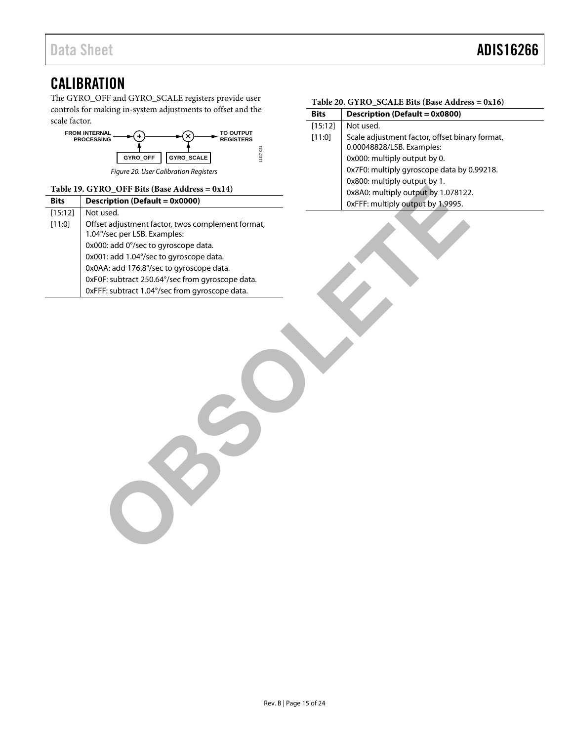### <span id="page-14-0"></span>**CALIBRATION**

The GYRO\_OFF and GYRO\_SCALE registers provide user controls for making in-system adjustments to offset and the scale factor.



*Figure 20. User Calibration Registers*

#### <span id="page-14-1"></span>**Table 19. GYRO\_OFF Bits (Base Address = 0x14)**

|             | Table 19. GYRO_OFF Bits (Base Address = 0x14)     | 0x8A0: multiply output by 1.078122 |
|-------------|---------------------------------------------------|------------------------------------|
| <b>Bits</b> | <b>Description (Default = 0x0000)</b>             | 0xFFF: multiply output by 1.9995.  |
| [15:12]     | Not used.                                         |                                    |
| [11:0]      | Offset adjustment factor, twos complement format, |                                    |
|             | 1.04°/sec per LSB. Examples:                      |                                    |
|             | 0x000: add 0°/sec to gyroscope data.              |                                    |
|             | 0x001: add 1.04°/sec to gyroscope data.           |                                    |
|             | 0x0AA: add 176.8°/sec to gyroscope data.          |                                    |
|             | 0xF0F: subtract 250.64°/sec from gyroscope data.  |                                    |
|             | 0xFFF: subtract 1.04°/sec from gyroscope data.    |                                    |
|             |                                                   |                                    |

<span id="page-14-2"></span>

| Table 20. GYRO_SCALE Bits (Base Address = 0x16) |  |  |  |
|-------------------------------------------------|--|--|--|
|-------------------------------------------------|--|--|--|

| <b>Bits</b> | Description (Default = 0x0800)                                              |
|-------------|-----------------------------------------------------------------------------|
| [15:12]     | Not used.                                                                   |
| [11:0]      | Scale adjustment factor, offset binary format,<br>0.00048828/LSB. Examples: |
|             | 0x000: multiply output by 0.                                                |
|             | 0x7F0: multiply gyroscope data by 0.99218.                                  |
|             | 0x800: multiply output by 1.                                                |
|             | 0x8A0: multiply output by 1.078122.                                         |
|             | 0xFFF: multiply output by 1.9995.                                           |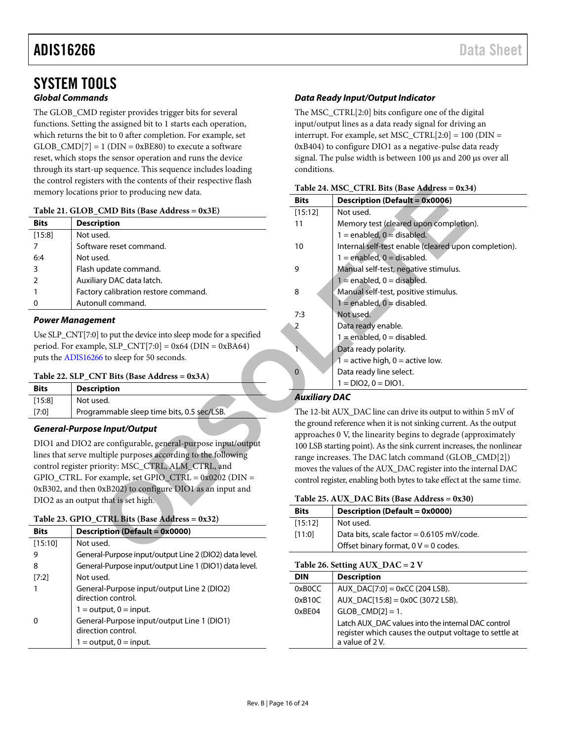### <span id="page-15-0"></span>SYSTEM TOOLS **Global Commands**

The GLOB\_CMD register provides trigger bits for several functions. Setting the assigned bit to 1 starts each operation, which returns the bit to 0 after completion. For example, set  $GLOB\_CMD[7] = 1 (DIN = 0xBE80)$  to execute a software reset, which stops the sensor operation and runs the device through its start-up sequence. This sequence includes loading the control registers with the contents of their respective flash memory locations prior to producing new data.

#### <span id="page-15-5"></span>**Table 21. GLOB\_CMD Bits (Base Address = 0x3E)**

| <b>Bits</b> | <b>Description</b>                   |
|-------------|--------------------------------------|
| [15:8]      | Not used.                            |
|             | Software reset command.              |
| 6:4         | Not used.                            |
| 3           | Flash update command.                |
|             | Auxiliary DAC data latch.            |
|             | Factory calibration restore command. |
|             | Autonull command.                    |
|             |                                      |

#### **Power Management**

Use SLP\_CNT[7:0] to put the device into sleep mode for a specified period. For example,  $SLP_CNT[7:0] = 0x64$  ( $DIN = 0xBA64$ ) puts th[e ADIS16266 t](http://www.analog.com/ADIS16266?doc=ADIS16266.pdf)o sleep for 50 seconds.

#### <span id="page-15-4"></span>**Table 22. SLP\_CNT Bits (Base Address = 0x3A)**

| <b>Bits</b> | <b>Description</b>                         |  |
|-------------|--------------------------------------------|--|
| [15:8]      | Not used.                                  |  |
| [7:0]       | Programmable sleep time bits, 0.5 sec/LSB. |  |

#### **General-Purpose Input/Output**

DIO1 and DIO2 are configurable, general-purpose input/output lines that serve multiple purposes according to the following control register priority: MSC\_CTRL, ALM\_CTRL, and GPIO\_CTRL. For example, set GPIO\_CTRL =  $0x0202$  (DIN = 0xB302, and then 0xB202) to configure DIO1 as an input and DIO2 as an output that is set high.

#### <span id="page-15-2"></span>**Table 23. GPIO\_CTRL Bits (Base Address = 0x32)**

| <b>Bits</b> | <b>Description (Default = 0x0000)</b>                            |
|-------------|------------------------------------------------------------------|
| [15:10]     | Not used.                                                        |
|             | General-Purpose input/output Line 2 (DIO2) data level.           |
| 8           | General-Purpose input/output Line 1 (DIO1) data level.           |
| $[7:2]$     | Not used.                                                        |
|             | General-Purpose input/output Line 2 (DIO2)<br>direction control. |
|             | $1 =$ output, $0 =$ input.                                       |
|             | General-Purpose input/output Line 1 (DIO1)<br>direction control. |
|             | $1 =$ output, $0 =$ input.                                       |

#### **Data Ready Input/Output Indicator**

The MSC\_CTRL[2:0] bits configure one of the digital input/output lines as a data ready signal for driving an interrupt. For example, set MSC\_CTRL[2:0] =  $100$  (DIN = 0xB404) to configure DIO1 as a negative-pulse data ready signal. The pulse width is between 100 μs and 200 μs over all conditions.

<span id="page-15-3"></span>

| Table 24. MSC_CTRL Bits (Base Address = 0x34) |  |  |  |  |
|-----------------------------------------------|--|--|--|--|
|-----------------------------------------------|--|--|--|--|

| prior to producing new data.                       | Table 24. MSC_CTRL Bits (Base Address = 0x34)                          |                                                                    |  |
|----------------------------------------------------|------------------------------------------------------------------------|--------------------------------------------------------------------|--|
|                                                    | <b>Bits</b>                                                            | <b>Description (Default = 0x0006)</b>                              |  |
| <b>CMD Bits (Base Address = <math>0x3E</math>)</b> | [15:12]                                                                | Not used.                                                          |  |
| iption                                             | 11                                                                     | Memory test (cleared upon completion).                             |  |
| ed.                                                |                                                                        | $1 =$ enabled, $0 =$ disabled.                                     |  |
| are reset command.                                 | 10                                                                     | Internal self-test enable (cleared upon completion).               |  |
| ed.                                                |                                                                        | $1 =$ enabled, $0 =$ disabled.                                     |  |
| update command.                                    | 9                                                                      | Manual self-test, negative stimulus.                               |  |
| ary DAC data latch.                                |                                                                        | $1 =$ enabled, $0 =$ disabled.                                     |  |
| y calibration restore command.                     | 8                                                                      | Manual self-test, positive stimulus.                               |  |
| ull command.                                       |                                                                        | $1 =$ enabled, $0 =$ disabled.                                     |  |
|                                                    | 7:3                                                                    | Not used.                                                          |  |
| nent                                               | $\overline{c}$                                                         | Data ready enable.                                                 |  |
| to put the device into sleep mode for a specified  |                                                                        | $1 =$ enabled, $0 =$ disabled.                                     |  |
| $le, SLP_CNT[7:0] = 0x64 (DIN = 0xBA64)$           | $\hat{\mathbf{r}}$                                                     | Data ready polarity.                                               |  |
| 6 to sleep for 50 seconds.                         |                                                                        | $1 =$ active high, 0 = active low.                                 |  |
| NT Bits (Base Address = $0x3A$ )                   | $\mathbf 0$                                                            | Data ready line select.                                            |  |
| iption                                             |                                                                        | $1 = DIO2, 0 = DIO1.$                                              |  |
| ed.                                                | <b>Auxiliary DAC</b>                                                   |                                                                    |  |
| mmable sleep time bits, 0.5 sec/LSB.               | The 12-bit AUX_DAC line can drive its output to within 5 mV of         |                                                                    |  |
|                                                    |                                                                        | the ground reference when it is not sinking current. As the output |  |
| e Input/Output                                     |                                                                        | approaches 0 V, the linearity begins to degrade (approximately     |  |
| re configurable, general-purpose input/output      | 100 LSB starting point). As the sink current increases, the nonlinear  |                                                                    |  |
| altiple purposes according to the following        | range increases. The DAC latch command (GLOB_CMD[2])                   |                                                                    |  |
| iority: MSC_CTRL, ALM_CTRL, and                    |                                                                        | moves the values of the AUX_DAC register into the internal DAC     |  |
| example, set GPIO_CTRL = $0x0202$ (DIN =           | control register, enabling both bytes to take effect at the same time. |                                                                    |  |
| 0xB202) to configure DIO1 as an input and          |                                                                        |                                                                    |  |
| that is set high.                                  | Table 25. AUX_DAC Bits (Base Address = 0x30)                           |                                                                    |  |
| <b>CTRL Bits (Base Address = 0x32)</b>             | <b>Bits</b>                                                            | <b>Description (Default = 0x0000)</b>                              |  |
| iption (Default = 0x0000)                          | [15:12]                                                                | Not used.                                                          |  |
| ed.                                                | [11:0]                                                                 | Data bits, scale factor = 0.6105 mV/code.                          |  |
| al-Purnose innut/outnut Line 2 (DIO2) data level   |                                                                        | Offset binary format, $0 V = 0$ codes.                             |  |
|                                                    |                                                                        |                                                                    |  |

#### **Auxiliary DAC**

<span id="page-15-1"></span>

|  |  | Table 25. AUX_DAC Bits (Base Address = $0x30$ ) |
|--|--|-------------------------------------------------|
|--|--|-------------------------------------------------|

| <b>Bits</b> | <b>Description (Default = 0x0000)</b>     |
|-------------|-------------------------------------------|
| [15:12]     | Not used.                                 |
| [11:0]      | Data bits, scale factor = 0.6105 mV/code. |
|             | Offset binary format, $0 V = 0$ codes.    |

#### **Table 26. Setting AUX\_DAC = 2 V**

| <b>DIN</b> | <b>Description</b>                                                                                                            |
|------------|-------------------------------------------------------------------------------------------------------------------------------|
| 0xB0CC     | $AUX\_DAC[7:0] = 0xCC (204 LSB).$                                                                                             |
| 0xB10C     | AUX_DAC[15:8] = 0x0C (3072 LSB).                                                                                              |
| 0xBE04     | $GLOB_CMD[2] = 1.$                                                                                                            |
|            | Latch AUX_DAC values into the internal DAC control<br>register which causes the output voltage to settle at<br>a value of 2V. |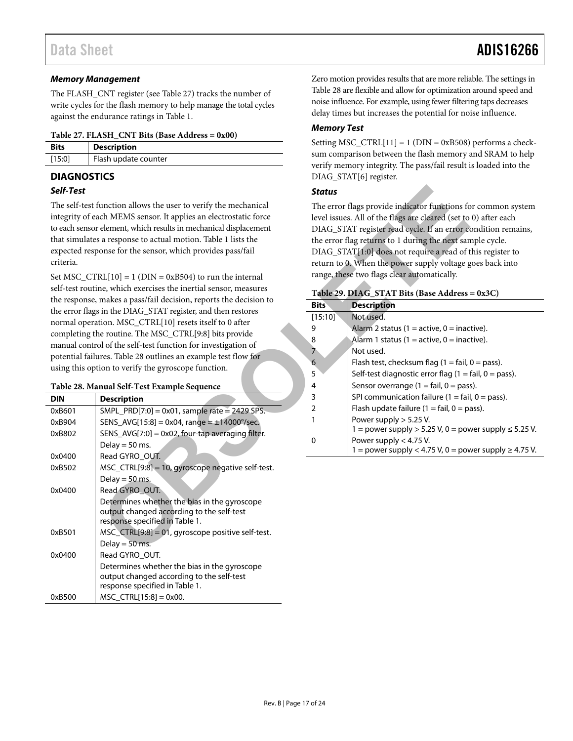#### *Memory Management*

The FLASH\_CNT register (se[e Table 27\)](#page-16-1) tracks the number of write cycles for the flash memory to help manage the total cycles against the endurance ratings i[n Table 1.](#page-2-1)

#### <span id="page-16-1"></span>**Table 27. FLASH\_CNT Bits (Base Address = 0x00)**

| <b>Bits</b> | Description          |  |
|-------------|----------------------|--|
| $[15:0]$    | Flash update counter |  |

#### <span id="page-16-0"></span>**DIAGNOSTICS**

#### *Self-Test*

#### <span id="page-16-3"></span>**Table 28. Manual Self-Test Example Sequence**

| Self-Test  |                                                                                                                                                                                                                                                                                                                                                                                                      | <b>Status</b>    |                                                                                                                                                                                                                                                                                                                                                        |
|------------|------------------------------------------------------------------------------------------------------------------------------------------------------------------------------------------------------------------------------------------------------------------------------------------------------------------------------------------------------------------------------------------------------|------------------|--------------------------------------------------------------------------------------------------------------------------------------------------------------------------------------------------------------------------------------------------------------------------------------------------------------------------------------------------------|
| criteria.  | The self-test function allows the user to verify the mechanical<br>integrity of each MEMS sensor. It applies an electrostatic force<br>to each sensor element, which results in mechanical displacement<br>that simulates a response to actual motion. Table 1 lists the<br>expected response for the sensor, which provides pass/fail<br>Set MSC_CTRL $[10] = 1$ (DIN = 0xB504) to run the internal |                  | The error flags provide indicator functions fo<br>level issues. All of the flags are cleared (set to<br>DIAG_STAT register read cycle. If an error co<br>the error flag returns to 1 during the next san<br>DIAG_STAT[1:0] does not require a read of t<br>return to 0. When the power supply voltage g<br>range, these two flags clear automatically. |
|            | self-test routine, which exercises the inertial sensor, measures                                                                                                                                                                                                                                                                                                                                     |                  | Table 29. DIAG_STAT Bits (Base Address                                                                                                                                                                                                                                                                                                                 |
|            | the response, makes a pass/fail decision, reports the decision to<br>the error flags in the DIAG_STAT register, and then restores                                                                                                                                                                                                                                                                    | <b>Bits</b>      | <b>Description</b>                                                                                                                                                                                                                                                                                                                                     |
|            | normal operation. MSC_CTRL[10] resets itself to 0 after                                                                                                                                                                                                                                                                                                                                              | [15:10]          | Not used.                                                                                                                                                                                                                                                                                                                                              |
|            | completing the routine. The MSC_CTRL[9:8] bits provide                                                                                                                                                                                                                                                                                                                                               | 9                | Alarm 2 status (1 = active, 0 = inac                                                                                                                                                                                                                                                                                                                   |
|            | manual control of the self-test function for investigation of                                                                                                                                                                                                                                                                                                                                        | $\boldsymbol{8}$ | Alarm 1 status (1 = active, 0 = inac                                                                                                                                                                                                                                                                                                                   |
|            | potential failures. Table 28 outlines an example test flow for                                                                                                                                                                                                                                                                                                                                       | $\overline{7}$   | Not used.                                                                                                                                                                                                                                                                                                                                              |
|            | using this option to verify the gyroscope function.                                                                                                                                                                                                                                                                                                                                                  | 6                | Flash test, checksum flag $(1 = \text{fail}, \text{null})$                                                                                                                                                                                                                                                                                             |
|            |                                                                                                                                                                                                                                                                                                                                                                                                      | 5                | Self-test diagnostic error flag (1 = $\overline{ }$                                                                                                                                                                                                                                                                                                    |
|            | Table 28. Manual Self-Test Example Sequence                                                                                                                                                                                                                                                                                                                                                          | 4                | Sensor overrange (1 = fail, 0 = pas.                                                                                                                                                                                                                                                                                                                   |
| <b>DIN</b> | <b>Description</b>                                                                                                                                                                                                                                                                                                                                                                                   | 3                | SPI communication failure $(1 = \text{fail})$                                                                                                                                                                                                                                                                                                          |
| 0xB601     | SMPL_PRD[7:0] = $0x01$ , sample rate = $2429$ SPS.                                                                                                                                                                                                                                                                                                                                                   | $\overline{2}$   | Flash update failure (1 = fail, 0 = $p_i$                                                                                                                                                                                                                                                                                                              |
| 0xB904     | SENS_AVG[15:8] = 0x04, range = $\pm$ 14000°/sec.                                                                                                                                                                                                                                                                                                                                                     | 1                | Power supply $> 5.25$ V.<br>$1 =$ power supply $> 5.25$ V, 0 = pov                                                                                                                                                                                                                                                                                     |
| 0xB802     | SENS_AVG[7:0] = 0x02, four-tap averaging filter.                                                                                                                                                                                                                                                                                                                                                     | 0                | Power supply $<$ 4.75 V.                                                                                                                                                                                                                                                                                                                               |
|            | Delay = $50$ ms.                                                                                                                                                                                                                                                                                                                                                                                     |                  | $1 =$ power supply < 4.75 V, 0 = pov                                                                                                                                                                                                                                                                                                                   |
| 0x0400     | Read GYRO_OUT.                                                                                                                                                                                                                                                                                                                                                                                       |                  |                                                                                                                                                                                                                                                                                                                                                        |
| 0xB502     | MSC_CTRL[9:8] = 10, gyroscope negative self-test.                                                                                                                                                                                                                                                                                                                                                    |                  |                                                                                                                                                                                                                                                                                                                                                        |
| 0x0400     | Delay = $50$ ms.<br>Read GYRO OUT.                                                                                                                                                                                                                                                                                                                                                                   |                  |                                                                                                                                                                                                                                                                                                                                                        |
|            | Determines whether the bias in the gyroscope<br>output changed according to the self-test<br>response specified in Table 1.                                                                                                                                                                                                                                                                          |                  |                                                                                                                                                                                                                                                                                                                                                        |
| 0xB501     | MSC_CTRL[9:8] = 01, gyroscope positive self-test.                                                                                                                                                                                                                                                                                                                                                    |                  |                                                                                                                                                                                                                                                                                                                                                        |
|            | Delay = $50$ ms.                                                                                                                                                                                                                                                                                                                                                                                     |                  |                                                                                                                                                                                                                                                                                                                                                        |
| 0x0400     | Read GYRO_OUT.                                                                                                                                                                                                                                                                                                                                                                                       |                  |                                                                                                                                                                                                                                                                                                                                                        |
|            | Determines whether the bias in the gyroscope<br>output changed according to the self-test<br>response specified in Table 1.                                                                                                                                                                                                                                                                          |                  |                                                                                                                                                                                                                                                                                                                                                        |
| 0xB500     | $MSC_CTRL[15:8] = 0x00.$                                                                                                                                                                                                                                                                                                                                                                             |                  |                                                                                                                                                                                                                                                                                                                                                        |

Zero motion provides results that are more reliable. The settings in [Table 28](#page-16-3) are flexible and allow for optimization around speed and noise influence. For example, using fewer filtering taps decreases delay times but increases the potential for noise influence.

#### *Memory Test*

Setting MSC\_CTRL $[11] = 1$  (DIN = 0xB508) performs a checksum comparison between the flash memory and SRAM to help verify memory integrity. The pass/fail result is loaded into the DIAG\_STAT[6] register.

#### *Status*

The error flags provide indicator functions for common system level issues. All of the flags are cleared (set to 0) after each DIAG\_STAT register read cycle. If an error condition remains, the error flag returns to 1 during the next sample cycle. DIAG\_STAT[1:0] does not require a read of this register to return to 0. When the power supply voltage goes back into range, these two flags clear automatically.

#### <span id="page-16-2"></span>**Table 29. DIAG\_STAT Bits (Base Address = 0x3C)**

| <b>Bits</b>   | <b>Description</b>                                                     |
|---------------|------------------------------------------------------------------------|
| [15:10]       | Not used.                                                              |
| 9             | Alarm 2 status (1 = active, 0 = inactive).                             |
| 8             | Alarm 1 status (1 = active, 0 = inactive).                             |
| 7             | Not used.                                                              |
| 6             | Flash test, checksum flag ( $1 = \text{fail}$ , $0 = \text{pass}$ ).   |
| 5             | Self-test diagnostic error flag $(1 = \text{fail}, 0 = \text{pass})$ . |
| 4             | Sensor overrange $(1 = \text{fail}, 0 = \text{pass})$ .                |
| 3             | SPI communication failure (1 = fail, 0 = pass).                        |
| $\mathcal{P}$ | Flash update failure $(1 = \text{fail}, 0 = \text{pass})$ .            |
| 1             | Power supply $> 5.25$ V.                                               |
|               | $1 =$ power supply > 5.25 V, 0 = power supply $\le$ 5.25 V.            |
| 0             | Power supply $< 4.75$ V.                                               |
|               | $1 =$ power supply $< 4.75$ V, 0 = power supply $\geq 4.75$ V.         |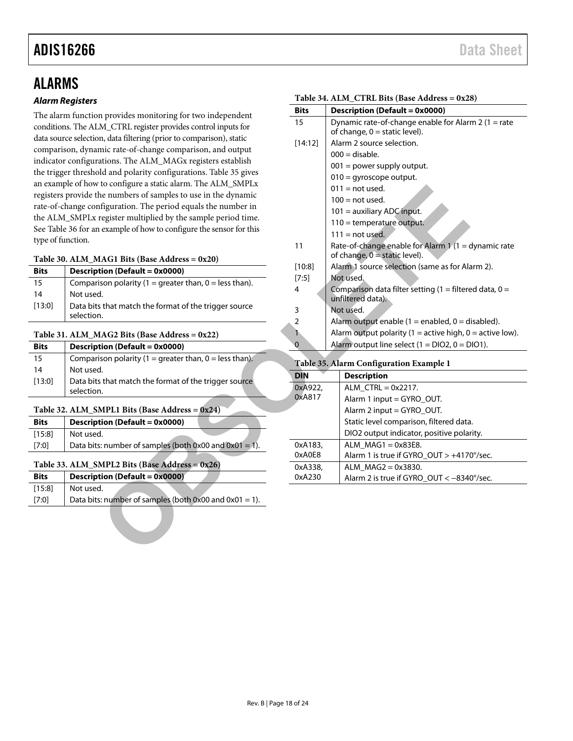## <span id="page-17-0"></span>ALARMS

#### *Alarm Registers*

The alarm function provides monitoring for two independent conditions. The ALM\_CTRL register provides control inputs for data source selection, data filtering (prior to comparison), static comparison, dynamic rate-of-change comparison, and output indicator configurations. The ALM\_MAGx registers establish the trigger threshold and polarity configurations. [Table 35](#page-17-6) gives an example of how to configure a static alarm. The ALM\_SMPLx registers provide the numbers of samples to use in the dynamic rate-of-change configuration. The period equals the number in the ALM\_SMPLx register multiplied by the sample period time. See [Table 36](#page-18-2) for an example of how to configure the sensor for this type of function.

#### <span id="page-17-1"></span>**Table 30. ALM\_MAG1 Bits (Base Address = 0x20)**

| <b>Bits</b> | <b>Description (Default = 0x0000)</b>                               |
|-------------|---------------------------------------------------------------------|
| 15          | Comparison polarity (1 = greater than, 0 = less than).              |
| 14          | Not used.                                                           |
| [13:0]      | Data bits that match the format of the trigger source<br>selection. |

#### <span id="page-17-2"></span>**Table 31. ALM\_MAG2 Bits (Base Address = 0x22)**

| <b>Bits</b> | Description (Default = 0x0000)                                      |
|-------------|---------------------------------------------------------------------|
| 15          | Comparison polarity (1 = greater than, 0 = less than).              |
| 14          | Not used.                                                           |
| [13:0]      | Data bits that match the format of the trigger source<br>selection. |

#### <span id="page-17-3"></span>Table 32. ALM SMPL1 Bits (Base Address  $= 0x24$ )

| <b>Bits</b> | Description (Default = 0x0000)                         |  |
|-------------|--------------------------------------------------------|--|
| [15:8]      | Not used.                                              |  |
| [7:0]       | Data bits: number of samples (both 0x00 and 0x01 = 1). |  |
|             |                                                        |  |

#### <span id="page-17-4"></span>**Table 33. ALM\_SMPL2 Bits (Base Address = 0x26)**

| <b>Bits</b> | <b>Description (Default = 0x0000)</b>                       |
|-------------|-------------------------------------------------------------|
| [15:8]      | Not used.                                                   |
| [7:0]       | Data bits: number of samples (both $0x00$ and $0x01 = 1$ ). |
|             |                                                             |

<span id="page-17-5"></span>

|                                                      |                   | Table 34. ALM_CTRL Bits (Base Address = $0x28$ )           |
|------------------------------------------------------|-------------------|------------------------------------------------------------|
| n provides monitoring for two independent            | Bits              | <b>Description (Default = 0x0000)</b>                      |
| M_CTRL register provides control inputs for          | 15                | Dynamic rate-of-change enable for Alarm 2 (1 = rate        |
| n, data filtering (prior to comparison), static      |                   | of change, $0 =$ static level).                            |
| mic rate-of-change comparison, and output            | [14:12]           | Alarm 2 source selection.                                  |
|                                                      |                   | $000 =$ disable.                                           |
| ations. The ALM_MAGx registers establish             |                   | $001$ = power supply output.                               |
| ld and polarity configurations. Table 35 gives       |                   | $010 = gyroscope output.$                                  |
| to configure a static alarm. The ALM_SMPLx           |                   | $011 = not used.$                                          |
| he numbers of samples to use in the dynamic          |                   | $100 = not used.$                                          |
| ifiguration. The period equals the number in         |                   | 101 = auxiliary ADC input.                                 |
| register multiplied by the sample period time.       |                   | 110 = temperature output.                                  |
| example of how to configure the sensor for this      |                   | $111 = not used.$                                          |
|                                                      | 11                | Rate-of-change enable for Alarm 1 (1 = dynamic rate        |
| $[AG1 \; Bits \; (Base Address = 0x20)]$             |                   | of change, $0 =$ static level).                            |
| tion (Default = 0x0000)                              | $[10:8]$          | Alarm 1 source selection (same as for Alarm 2).            |
| ison polarity $(1 =$ greater than, $0 =$ less than). | $[7:5]$           | Not used.                                                  |
| J.                                                   | 4                 | Comparison data filter setting (1 = filtered data, $0 =$   |
| s that match the format of the trigger source        |                   | unfiltered data).                                          |
|                                                      | 3                 | Not used.                                                  |
|                                                      | 2                 | Alarm output enable $(1 =$ enabled, $0 =$ disabled).       |
| $1AG2 \text{ bits (Base Address = 0x22)$             | 1                 | Alarm output polarity (1 = active high, $0 =$ active low). |
| tion (Default = 0x0000)                              | 0                 | Alarm output line select $(1 = DIO2, 0 = DIO1)$ .          |
| ison polarity $(1 =$ greater than, $0 =$ less than). |                   | Table 35. Alarm Configuration Example 1                    |
| ı.                                                   | <b>DIN</b>        | <b>Description</b>                                         |
| s that match the format of the trigger source        | 0xA922,           |                                                            |
| ٦.                                                   | 0xA817            | $ALM_CTRL = 0x2217.$                                       |
|                                                      |                   | Alarm 1 input = GYRO_OUT.                                  |
| <b>MPL1 Bits (Base Address = <math>0x24</math>)</b>  |                   | Alarm 2 input = GYRO_OUT.                                  |
| $tion (Default = 0x0000)$                            |                   | Static level comparison, filtered data.                    |
| Ł.                                                   |                   | DIO2 output indicator, positive polarity.                  |
| s: number of samples (both $0x00$ and $0x01 = 1$ ).  | 0xA183,           | $ALM_MAG1 = 0x83E8.$                                       |
| <b>MPL2 Bits (Base Address = 0x26)</b>               | 0xA0E8            | Alarm 1 is true if GYRO_OUT > +4170°/sec.                  |
| $tion (Default = 0x0000)$                            | 0xA338,<br>0xA230 | $ALM_MAG2 = 0x3830.$                                       |
| Ł.                                                   |                   | Alarm 2 is true if GYRO_OUT < -8340°/sec.                  |
| s: number of samples (both $0x00$ and $0x01 = 1$ ).  |                   |                                                            |
|                                                      |                   |                                                            |
|                                                      |                   |                                                            |
|                                                      |                   |                                                            |
|                                                      |                   |                                                            |
|                                                      |                   |                                                            |

#### <span id="page-17-6"></span>0xA922, 0xA817 ALM\_CTRL = 0x2217. Alarm 1 input = GYRO\_OUT. Alarm 2 input = GYRO\_OUT. Static level comparison, filtered data. DIO2 output indicator, positive polarity. 0xA183, 0xA0E8 ALM  $MAG1 = 0x83E8$ . Alarm 1 is true if GYRO\_OUT > +4170°/sec. 0xA338, 0xA230 ALM\_MAG2 = 0x3830. Alarm 2 is true if GYRO\_OUT < -8340°/sec.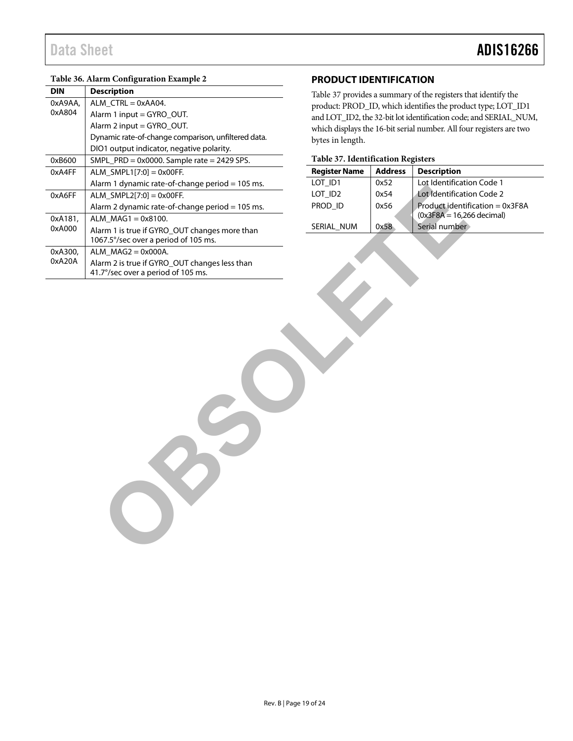#### <span id="page-18-2"></span>**Table 36. Alarm Configuration Example 2**

| <b>DIN</b> | <b>Description</b>                                  | Table 37 provides a summary of the registers th  |                |                    |
|------------|-----------------------------------------------------|--------------------------------------------------|----------------|--------------------|
| 0xA9AA,    | ALM_CTRL = 0xAA04.                                  | product: PROD_ID, which identifies the produ     |                |                    |
| 0xA804     | Alarm 1 input = GYRO_OUT.                           | and LOT_ID2, the 32-bit lot identification code; |                |                    |
|            | Alarm 2 input = GYRO_OUT.                           | which displays the 16-bit serial number. All fou |                |                    |
|            | Dynamic rate-of-change comparison, unfiltered data. | bytes in length.                                 |                |                    |
|            | DIO1 output indicator, negative polarity.           |                                                  |                |                    |
| 0xB600     | SMPL_PRD = 0x0000. Sample rate = 2429 SPS.          | Table 37. Identification Registers               |                |                    |
| 0xA4FF     | $ALM\_SMPL1[7:0] = 0x00FF.$                         | <b>Register Name</b>                             | <b>Address</b> | <b>Description</b> |
|            | Alarm 1 dynamic rate-of-change period = 105 ms.     | LOT_ID1                                          | 0x52           | Lot Identificatio  |
| 0xA6FF     | $ALM\_SMPL2[7:0] = 0x00FF.$                         | LOT_ID2                                          | 0x54           | Lot Identificatio  |
|            | Alarm 2 dynamic rate-of-change period = 105 ms.     | PROD_ID                                          | 0x56           | Product identif    |
| 0xA181,    | ALM $MAG1 = 0x8100$ .                               |                                                  |                | $(0x3F8A = 16,26$  |
| 0xA000     | Alarm 1 is true if GYRO_OUT changes more than       | SERIAL_NUM                                       | 0x58           | Serial number      |
|            | 1067.5°/sec over a period of 105 ms.                |                                                  |                |                    |
| 0xA300,    | $ALM_MAG2 = 0x000A.$                                |                                                  |                |                    |
| 0xA20A     | Alarm 2 is true if GYRO_OUT changes less than       |                                                  |                |                    |
|            | 41.7°/sec over a period of 105 ms.                  |                                                  |                |                    |
|            | $\circ$                                             |                                                  |                |                    |
|            |                                                     |                                                  |                |                    |

#### <span id="page-18-0"></span>**PRODUCT IDENTIFICATION**

[Table 37](#page-18-1) provides a summary of the registers that identify the product: PROD\_ID, which identifies the product type; LOT\_ID1 and LOT\_ID2, the 32-bit lot identification code; and SERIAL\_NUM, which displays the 16-bit serial number. All four registers are two bytes in length.

#### <span id="page-18-1"></span>**Table 37. Identification Registers**

| <b>Register Name</b> | <b>Address</b> | <b>Description</b>                |  |  |  |
|----------------------|----------------|-----------------------------------|--|--|--|
| LOT ID1              | 0x52           | Lot Identification Code 1         |  |  |  |
| LOT ID <sub>2</sub>  | 0x54           | Lot Identification Code 2         |  |  |  |
| PROD ID              | 0x56           | Product identification = $0x3F8A$ |  |  |  |
|                      |                | $(0x3F8A = 16,266$ decimal)       |  |  |  |
| SERIAL NUM           | 0x58           | Serial number                     |  |  |  |
|                      |                |                                   |  |  |  |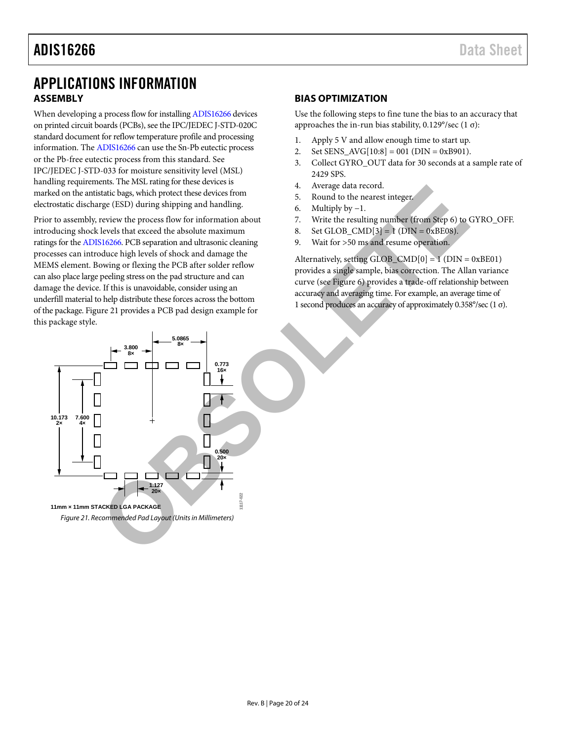### <span id="page-19-0"></span>APPLICATIONS INFORMATION **ASSEMBLY**

<span id="page-19-1"></span>When developing a process flow for installin[g ADIS16266 d](http://www.analog.com/ADIS16266?doc=ADIS16266.pdf)evices on printed circuit boards (PCBs), see the IPC/JEDEC J-STD-020C standard document for reflow temperature profile and processing information. Th[e ADIS16266 c](http://www.analog.com/ADIS16266?doc=ADIS16266.pdf)an use the Sn-Pb eutectic process or the Pb-free eutectic process from this standard. See IPC/JEDEC J-STD-033 for moisture sensitivity level (MSL) handling requirements. The MSL rating for these devices is marked on the antistatic bags, which protect these devices from electrostatic discharge (ESD) during shipping and handling.

<span id="page-19-3"></span>Prior to assembly, review the process flow for information about introducing shock levels that exceed the absolute maximum ratings for th[e ADIS16266.](http://www.analog.com/ADIS16266?doc=ADIS16266.pdf) PCB separation and ultrasonic cleaning processes can introduce high levels of shock and damage the MEMS element. Bowing or flexing the PCB after solder reflow can also place large peeling stress on the pad structure and can damage the device. If this is unavoidable, consider using an underfill material to help distribute these forces across the bottom of the package[. Figure 21 p](#page-19-3)rovides a PCB pad design example for this package style.

#### <span id="page-19-2"></span>**BIAS OPTIMIZATION**

Use the following steps to fine tune the bias to an accuracy that approaches the in-run bias stability, 0.129°/sec (1 σ):

- 1. Apply 5 V and allow enough time to start up.
- 2. Set SENS  $AVG[10:8] = 001$  (DIN = 0xB901).
- 3. Collect GYRO\_OUT data for 30 seconds at a sample rate of 2429 SPS.
- 4. Average data record.
- 5. Round to the nearest integer.
- 6. Multiply by −1.
- 7. Write the resulting number (from Step 6) to GYRO\_OFF.
- 8. Set GLOB\_CMD[3] = 1 (DIN = 0xBE08).
- 9. Wait for >50 ms and resume operation.

Alternatively, setting GLOB\_CMD $[0] = 1$  (DIN = 0xBE01) provides a single sample, bias correction. The Allan variance curve (see Figure 6) provides a trade-off relationship between accuracy and averaging time. For example, an average time of 1 second produces an accuracy of approximately 0.358°/sec (1 σ).

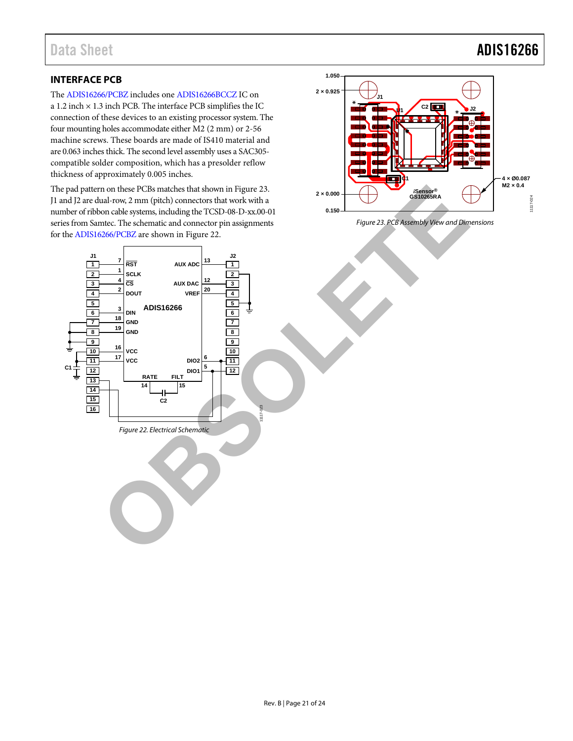# Data Sheet **ADIS16266**

### <span id="page-20-0"></span>**INTERFACE PCB**

The [ADIS16266/PCBZ](http://www.analog.com/ADIS16266?doc=ADIS16266.pdf) includes one [ADIS16266BCCZ](http://www.analog.com/ADIS16266?doc=ADIS16266.pdf) IC on a 1.2 inch  $\times$  1.3 inch PCB. The interface PCB simplifies the IC connection of these devices to an existing processor system. The four mounting holes accommodate either M2 (2 mm) or 2-56 machine screws. These boards are made of IS410 material and are 0.063 inches thick. The second level assembly uses a SAC305 compatible solder composition, which has a presolder reflow thickness of approximately 0.005 inches.

<span id="page-20-2"></span>The pad pattern on these PCBs matches that shown in Figure 23. J1 and J2 are dual-row, 2 mm (pitch) connectors that work with a number of ribbon cable systems, including the TCSD-08-D-xx.00-01 series from Samtec. The schematic and connector pin assignments for the ADIS16266/PCBZ are shown in Figure 22.



<span id="page-20-1"></span>*Figure 23. PCB Assembly View and Dimensions*

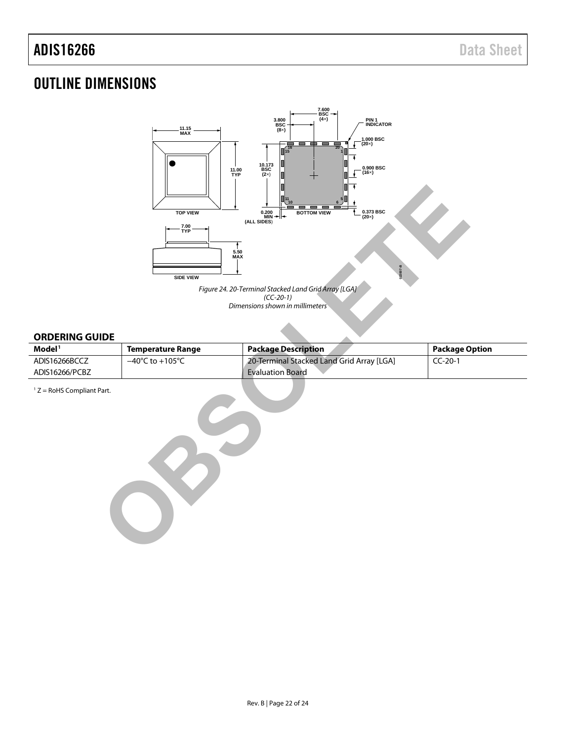## <span id="page-21-0"></span>OUTLINE DIMENSIONS



*Figure 24. 20-Terminal Stacked Land Grid Array [LGA] (CC-20-1) Dimensions shown in millimeters*

#### <span id="page-21-1"></span>**ORDERING GUIDE**

| Model <sup>1</sup> | Temperature Range                   | <b>Package Description</b>                | <b>Package Option</b> |
|--------------------|-------------------------------------|-------------------------------------------|-----------------------|
| ADIS16266BCCZ      | $-40^{\circ}$ C to $+105^{\circ}$ C | 20-Terminal Stacked Land Grid Array [LGA] | $CC-20-1$             |
| ADIS16266/PCBZ     |                                     | <b>Evaluation Board</b>                   |                       |

 $1 Z =$  RoHS Compliant Part.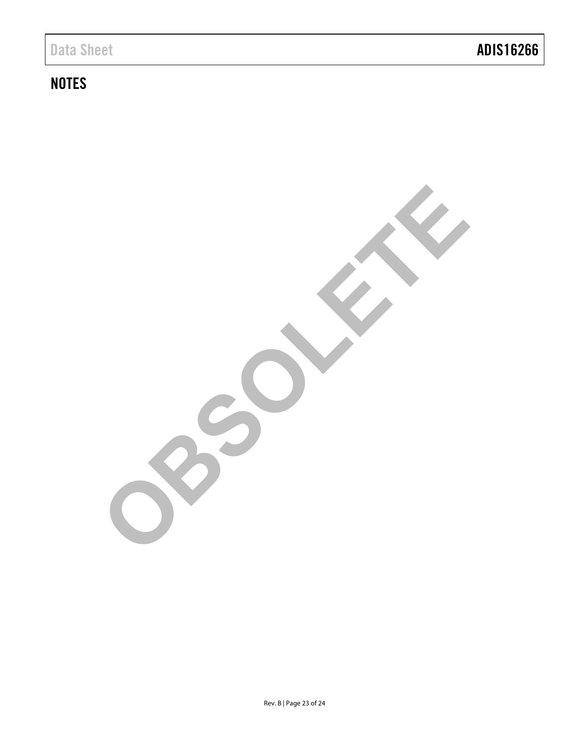# **NOTES**

**OBSOLETE**